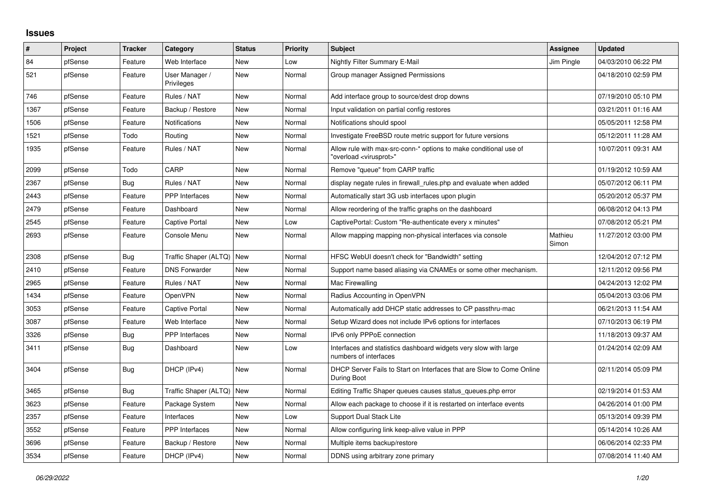## **Issues**

| ∦    | Project | <b>Tracker</b> | Category                     | <b>Status</b> | <b>Priority</b> | <b>Subject</b>                                                                                          | Assignee         | <b>Updated</b>      |
|------|---------|----------------|------------------------------|---------------|-----------------|---------------------------------------------------------------------------------------------------------|------------------|---------------------|
| 84   | pfSense | Feature        | Web Interface                | <b>New</b>    | Low             | <b>Nightly Filter Summary E-Mail</b>                                                                    | Jim Pingle       | 04/03/2010 06:22 PM |
| 521  | pfSense | Feature        | User Manager /<br>Privileges | <b>New</b>    | Normal          | Group manager Assigned Permissions                                                                      |                  | 04/18/2010 02:59 PM |
| 746  | pfSense | Feature        | Rules / NAT                  | <b>New</b>    | Normal          | Add interface group to source/dest drop downs                                                           |                  | 07/19/2010 05:10 PM |
| 1367 | pfSense | Feature        | Backup / Restore             | New           | Normal          | Input validation on partial config restores                                                             |                  | 03/21/2011 01:16 AM |
| 1506 | pfSense | Feature        | <b>Notifications</b>         | <b>New</b>    | Normal          | Notifications should spool                                                                              |                  | 05/05/2011 12:58 PM |
| 1521 | pfSense | Todo           | Routing                      | New           | Normal          | Investigate FreeBSD route metric support for future versions                                            |                  | 05/12/2011 11:28 AM |
| 1935 | pfSense | Feature        | Rules / NAT                  | <b>New</b>    | Normal          | Allow rule with max-src-conn-* options to make conditional use of<br>'overload <virusprot>"</virusprot> |                  | 10/07/2011 09:31 AM |
| 2099 | pfSense | Todo           | CARP                         | <b>New</b>    | Normal          | Remove "queue" from CARP traffic                                                                        |                  | 01/19/2012 10:59 AM |
| 2367 | pfSense | Bug            | Rules / NAT                  | New           | Normal          | display negate rules in firewall_rules.php and evaluate when added                                      |                  | 05/07/2012 06:11 PM |
| 2443 | pfSense | Feature        | PPP Interfaces               | <b>New</b>    | Normal          | Automatically start 3G usb interfaces upon plugin                                                       |                  | 05/20/2012 05:37 PM |
| 2479 | pfSense | Feature        | Dashboard                    | New           | Normal          | Allow reordering of the traffic graphs on the dashboard                                                 |                  | 06/08/2012 04:13 PM |
| 2545 | pfSense | Feature        | <b>Captive Portal</b>        | New           | Low             | CaptivePortal: Custom "Re-authenticate every x minutes"                                                 |                  | 07/08/2012 05:21 PM |
| 2693 | pfSense | Feature        | Console Menu                 | <b>New</b>    | Normal          | Allow mapping mapping non-physical interfaces via console                                               | Mathieu<br>Simon | 11/27/2012 03:00 PM |
| 2308 | pfSense | Bug            | Traffic Shaper (ALTQ)   New  |               | Normal          | HFSC WebUI doesn't check for "Bandwidth" setting                                                        |                  | 12/04/2012 07:12 PM |
| 2410 | pfSense | Feature        | <b>DNS Forwarder</b>         | <b>New</b>    | Normal          | Support name based aliasing via CNAMEs or some other mechanism.                                         |                  | 12/11/2012 09:56 PM |
| 2965 | pfSense | Feature        | Rules / NAT                  | New           | Normal          | Mac Firewalling                                                                                         |                  | 04/24/2013 12:02 PM |
| 1434 | pfSense | Feature        | <b>OpenVPN</b>               | <b>New</b>    | Normal          | Radius Accounting in OpenVPN                                                                            |                  | 05/04/2013 03:06 PM |
| 3053 | pfSense | Feature        | <b>Captive Portal</b>        | <b>New</b>    | Normal          | Automatically add DHCP static addresses to CP passthru-mac                                              |                  | 06/21/2013 11:54 AM |
| 3087 | pfSense | Feature        | Web Interface                | <b>New</b>    | Normal          | Setup Wizard does not include IPv6 options for interfaces                                               |                  | 07/10/2013 06:19 PM |
| 3326 | pfSense | <b>Bug</b>     | <b>PPP</b> Interfaces        | <b>New</b>    | Normal          | IPv6 only PPPoE connection                                                                              |                  | 11/18/2013 09:37 AM |
| 3411 | pfSense | Bug            | Dashboard                    | <b>New</b>    | Low             | Interfaces and statistics dashboard widgets very slow with large<br>numbers of interfaces               |                  | 01/24/2014 02:09 AM |
| 3404 | pfSense | Bug            | DHCP (IPv4)                  | <b>New</b>    | Normal          | DHCP Server Fails to Start on Interfaces that are Slow to Come Online<br>During Boot                    |                  | 02/11/2014 05:09 PM |
| 3465 | pfSense | Bug            | Traffic Shaper (ALTQ)   New  |               | Normal          | Editing Traffic Shaper queues causes status_queues.php error                                            |                  | 02/19/2014 01:53 AM |
| 3623 | pfSense | Feature        | Package System               | <b>New</b>    | Normal          | Allow each package to choose if it is restarted on interface events                                     |                  | 04/26/2014 01:00 PM |
| 2357 | pfSense | Feature        | Interfaces                   | New           | Low             | Support Dual Stack Lite                                                                                 |                  | 05/13/2014 09:39 PM |
| 3552 | pfSense | Feature        | PPP Interfaces               | <b>New</b>    | Normal          | Allow configuring link keep-alive value in PPP                                                          |                  | 05/14/2014 10:26 AM |
| 3696 | pfSense | Feature        | Backup / Restore             | <b>New</b>    | Normal          | Multiple items backup/restore                                                                           |                  | 06/06/2014 02:33 PM |
| 3534 | pfSense | Feature        | DHCP (IPv4)                  | New           | Normal          | DDNS using arbitrary zone primary                                                                       |                  | 07/08/2014 11:40 AM |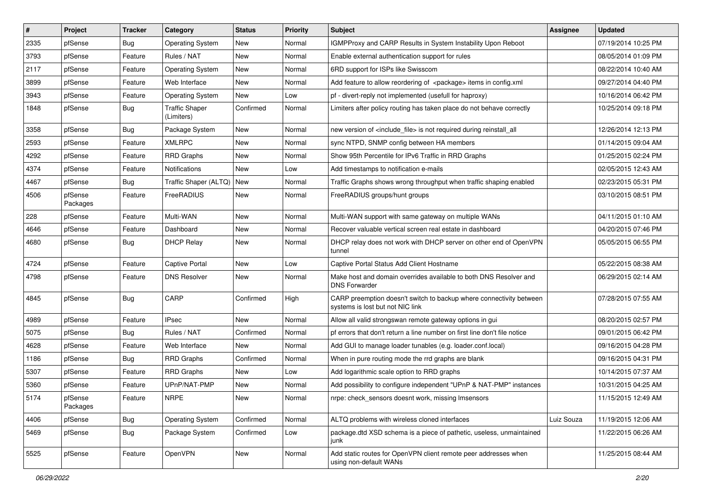| $\vert$ # | Project             | <b>Tracker</b> | Category                            | <b>Status</b> | <b>Priority</b> | Subject                                                                                                 | Assignee   | <b>Updated</b>      |
|-----------|---------------------|----------------|-------------------------------------|---------------|-----------------|---------------------------------------------------------------------------------------------------------|------------|---------------------|
| 2335      | pfSense             | <b>Bug</b>     | <b>Operating System</b>             | New           | Normal          | <b>IGMPProxy and CARP Results in System Instability Upon Reboot</b>                                     |            | 07/19/2014 10:25 PM |
| 3793      | pfSense             | Feature        | Rules / NAT                         | New           | Normal          | Enable external authentication support for rules                                                        |            | 08/05/2014 01:09 PM |
| 2117      | pfSense             | Feature        | <b>Operating System</b>             | New           | Normal          | 6RD support for ISPs like Swisscom                                                                      |            | 08/22/2014 10:40 AM |
| 3899      | pfSense             | Feature        | Web Interface                       | New           | Normal          | Add feature to allow reordering of <package> items in config.xml</package>                              |            | 09/27/2014 04:40 PM |
| 3943      | pfSense             | Feature        | <b>Operating System</b>             | New           | Low             | pf - divert-reply not implemented (usefull for haproxy)                                                 |            | 10/16/2014 06:42 PM |
| 1848      | pfSense             | Bug            | <b>Traffic Shaper</b><br>(Limiters) | Confirmed     | Normal          | Limiters after policy routing has taken place do not behave correctly                                   |            | 10/25/2014 09:18 PM |
| 3358      | pfSense             | Bug            | Package System                      | <b>New</b>    | Normal          | new version of <include file=""> is not required during reinstall all</include>                         |            | 12/26/2014 12:13 PM |
| 2593      | pfSense             | Feature        | <b>XMLRPC</b>                       | New           | Normal          | sync NTPD, SNMP config between HA members                                                               |            | 01/14/2015 09:04 AM |
| 4292      | pfSense             | Feature        | <b>RRD Graphs</b>                   | <b>New</b>    | Normal          | Show 95th Percentile for IPv6 Traffic in RRD Graphs                                                     |            | 01/25/2015 02:24 PM |
| 4374      | pfSense             | Feature        | <b>Notifications</b>                | New           | Low             | Add timestamps to notification e-mails                                                                  |            | 02/05/2015 12:43 AM |
| 4467      | pfSense             | Bug            | Traffic Shaper (ALTQ)   New         |               | Normal          | Traffic Graphs shows wrong throughput when traffic shaping enabled                                      |            | 02/23/2015 05:31 PM |
| 4506      | pfSense<br>Packages | Feature        | FreeRADIUS                          | New           | Normal          | FreeRADIUS groups/hunt groups                                                                           |            | 03/10/2015 08:51 PM |
| 228       | pfSense             | Feature        | Multi-WAN                           | New           | Normal          | Multi-WAN support with same gateway on multiple WANs                                                    |            | 04/11/2015 01:10 AM |
| 4646      | pfSense             | Feature        | Dashboard                           | New           | Normal          | Recover valuable vertical screen real estate in dashboard                                               |            | 04/20/2015 07:46 PM |
| 4680      | pfSense             | Bug            | <b>DHCP Relay</b>                   | New           | Normal          | DHCP relay does not work with DHCP server on other end of OpenVPN<br>tunnel                             |            | 05/05/2015 06:55 PM |
| 4724      | pfSense             | Feature        | <b>Captive Portal</b>               | New           | Low             | Captive Portal Status Add Client Hostname                                                               |            | 05/22/2015 08:38 AM |
| 4798      | pfSense             | Feature        | <b>DNS Resolver</b>                 | New           | Normal          | Make host and domain overrides available to both DNS Resolver and<br><b>DNS Forwarder</b>               |            | 06/29/2015 02:14 AM |
| 4845      | pfSense             | Bug            | CARP                                | Confirmed     | High            | CARP preemption doesn't switch to backup where connectivity between<br>systems is lost but not NIC link |            | 07/28/2015 07:55 AM |
| 4989      | pfSense             | Feature        | <b>IPsec</b>                        | <b>New</b>    | Normal          | Allow all valid strongswan remote gateway options in gui                                                |            | 08/20/2015 02:57 PM |
| 5075      | pfSense             | Bug            | Rules / NAT                         | Confirmed     | Normal          | pf errors that don't return a line number on first line don't file notice                               |            | 09/01/2015 06:42 PM |
| 4628      | pfSense             | Feature        | Web Interface                       | <b>New</b>    | Normal          | Add GUI to manage loader tunables (e.g. loader.conf.local)                                              |            | 09/16/2015 04:28 PM |
| 1186      | pfSense             | <b>Bug</b>     | <b>RRD Graphs</b>                   | Confirmed     | Normal          | When in pure routing mode the rrd graphs are blank                                                      |            | 09/16/2015 04:31 PM |
| 5307      | pfSense             | Feature        | <b>RRD Graphs</b>                   | New           | Low             | Add logarithmic scale option to RRD graphs                                                              |            | 10/14/2015 07:37 AM |
| 5360      | pfSense             | Feature        | UPnP/NAT-PMP                        | New           | Normal          | Add possibility to configure independent "UPnP & NAT-PMP" instances                                     |            | 10/31/2015 04:25 AM |
| 5174      | pfSense<br>Packages | Feature        | <b>NRPE</b>                         | New           | Normal          | nrpe: check_sensors doesnt work, missing Imsensors                                                      |            | 11/15/2015 12:49 AM |
| 4406      | pfSense             | <b>Bug</b>     | <b>Operating System</b>             | Confirmed     | Normal          | ALTQ problems with wireless cloned interfaces                                                           | Luiz Souza | 11/19/2015 12:06 AM |
| 5469      | pfSense             | <b>Bug</b>     | Package System                      | Confirmed     | Low             | package.dtd XSD schema is a piece of pathetic, useless, unmaintained<br>junk                            |            | 11/22/2015 06:26 AM |
| 5525      | pfSense             | Feature        | OpenVPN                             | New           | Normal          | Add static routes for OpenVPN client remote peer addresses when<br>using non-default WANs               |            | 11/25/2015 08:44 AM |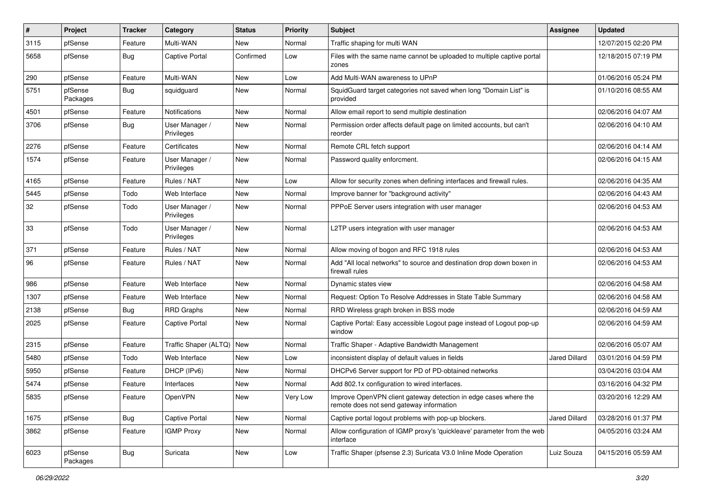| ∦    | Project             | <b>Tracker</b> | Category                     | <b>Status</b> | <b>Priority</b> | <b>Subject</b>                                                                                               | <b>Assignee</b>      | <b>Updated</b>      |
|------|---------------------|----------------|------------------------------|---------------|-----------------|--------------------------------------------------------------------------------------------------------------|----------------------|---------------------|
| 3115 | pfSense             | Feature        | Multi-WAN                    | New           | Normal          | Traffic shaping for multi WAN                                                                                |                      | 12/07/2015 02:20 PM |
| 5658 | pfSense             | <b>Bug</b>     | <b>Captive Portal</b>        | Confirmed     | Low             | Files with the same name cannot be uploaded to multiple captive portal<br>zones                              |                      | 12/18/2015 07:19 PM |
| 290  | pfSense             | Feature        | Multi-WAN                    | New           | Low             | Add Multi-WAN awareness to UPnP                                                                              |                      | 01/06/2016 05:24 PM |
| 5751 | pfSense<br>Packages | Bug            | squidguard                   | New           | Normal          | SquidGuard target categories not saved when long "Domain List" is<br>provided                                |                      | 01/10/2016 08:55 AM |
| 4501 | pfSense             | Feature        | Notifications                | New           | Normal          | Allow email report to send multiple destination                                                              |                      | 02/06/2016 04:07 AM |
| 3706 | pfSense             | Bug            | User Manager /<br>Privileges | New           | Normal          | Permission order affects default page on limited accounts, but can't<br>reorder                              |                      | 02/06/2016 04:10 AM |
| 2276 | pfSense             | Feature        | Certificates                 | <b>New</b>    | Normal          | Remote CRL fetch support                                                                                     |                      | 02/06/2016 04:14 AM |
| 1574 | pfSense             | Feature        | User Manager /<br>Privileges | New           | Normal          | Password quality enforcment.                                                                                 |                      | 02/06/2016 04:15 AM |
| 4165 | pfSense             | Feature        | Rules / NAT                  | New           | Low             | Allow for security zones when defining interfaces and firewall rules.                                        |                      | 02/06/2016 04:35 AM |
| 5445 | pfSense             | Todo           | Web Interface                | New           | Normal          | Improve banner for "background activity"                                                                     |                      | 02/06/2016 04:43 AM |
| 32   | pfSense             | Todo           | User Manager /<br>Privileges | New           | Normal          | PPPoE Server users integration with user manager                                                             |                      | 02/06/2016 04:53 AM |
| 33   | pfSense             | Todo           | User Manager /<br>Privileges | New           | Normal          | L2TP users integration with user manager                                                                     |                      | 02/06/2016 04:53 AM |
| 371  | pfSense             | Feature        | Rules / NAT                  | New           | Normal          | Allow moving of bogon and RFC 1918 rules                                                                     |                      | 02/06/2016 04:53 AM |
| 96   | pfSense             | Feature        | Rules / NAT                  | New           | Normal          | Add "All local networks" to source and destination drop down boxen in<br>firewall rules                      |                      | 02/06/2016 04:53 AM |
| 986  | pfSense             | Feature        | Web Interface                | New           | Normal          | Dynamic states view                                                                                          |                      | 02/06/2016 04:58 AM |
| 1307 | pfSense             | Feature        | Web Interface                | New           | Normal          | Request: Option To Resolve Addresses in State Table Summary                                                  |                      | 02/06/2016 04:58 AM |
| 2138 | pfSense             | <b>Bug</b>     | <b>RRD Graphs</b>            | New           | Normal          | RRD Wireless graph broken in BSS mode                                                                        |                      | 02/06/2016 04:59 AM |
| 2025 | pfSense             | Feature        | <b>Captive Portal</b>        | New           | Normal          | Captive Portal: Easy accessible Logout page instead of Logout pop-up<br>window                               |                      | 02/06/2016 04:59 AM |
| 2315 | pfSense             | Feature        | Traffic Shaper (ALTQ)   New  |               | Normal          | Traffic Shaper - Adaptive Bandwidth Management                                                               |                      | 02/06/2016 05:07 AM |
| 5480 | pfSense             | Todo           | Web Interface                | New           | Low             | inconsistent display of default values in fields                                                             | Jared Dillard        | 03/01/2016 04:59 PM |
| 5950 | pfSense             | Feature        | DHCP (IPv6)                  | New           | Normal          | DHCPv6 Server support for PD of PD-obtained networks                                                         |                      | 03/04/2016 03:04 AM |
| 5474 | pfSense             | Feature        | Interfaces                   | New           | Normal          | Add 802.1x configuration to wired interfaces.                                                                |                      | 03/16/2016 04:32 PM |
| 5835 | pfSense             | Feature        | OpenVPN                      | New           | Very Low        | Improve OpenVPN client gateway detection in edge cases where the<br>remote does not send gateway information |                      | 03/20/2016 12:29 AM |
| 1675 | pfSense             | Bug            | Captive Portal               | New           | Normal          | Captive portal logout problems with pop-up blockers.                                                         | <b>Jared Dillard</b> | 03/28/2016 01:37 PM |
| 3862 | pfSense             | Feature        | <b>IGMP Proxy</b>            | New           | Normal          | Allow configuration of IGMP proxy's 'quickleave' parameter from the web<br>interface                         |                      | 04/05/2016 03:24 AM |
| 6023 | pfSense<br>Packages | <b>Bug</b>     | Suricata                     | New           | Low             | Traffic Shaper (pfsense 2.3) Suricata V3.0 Inline Mode Operation                                             | Luiz Souza           | 04/15/2016 05:59 AM |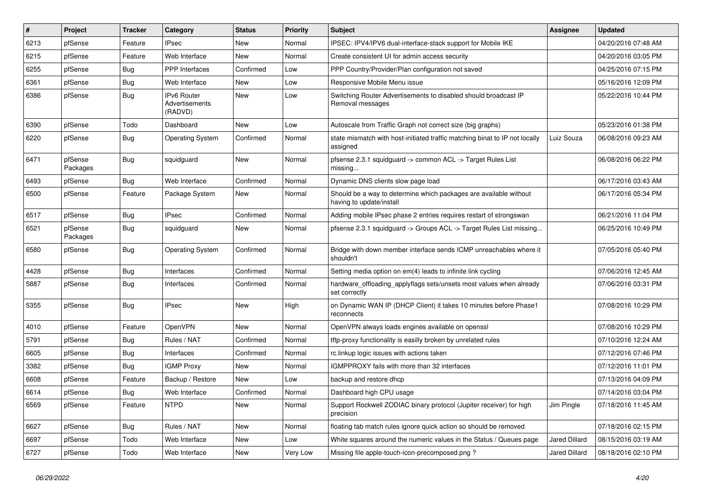| $\vert$ # | Project             | <b>Tracker</b> | Category                                        | <b>Status</b> | <b>Priority</b> | <b>Subject</b>                                                                                | Assignee             | <b>Updated</b>      |
|-----------|---------------------|----------------|-------------------------------------------------|---------------|-----------------|-----------------------------------------------------------------------------------------------|----------------------|---------------------|
| 6213      | pfSense             | Feature        | Psec                                            | New           | Normal          | IPSEC: IPV4/IPV6 dual-interface-stack support for Mobile IKE                                  |                      | 04/20/2016 07:48 AM |
| 6215      | pfSense             | Feature        | Web Interface                                   | <b>New</b>    | Normal          | Create consistent UI for admin access security                                                |                      | 04/20/2016 03:05 PM |
| 6255      | pfSense             | <b>Bug</b>     | <b>PPP</b> Interfaces                           | Confirmed     | Low             | PPP Country/Provider/Plan configuration not saved                                             |                      | 04/25/2016 07:15 PM |
| 6361      | pfSense             | Bug            | Web Interface                                   | New           | Low             | Responsive Mobile Menu issue                                                                  |                      | 05/16/2016 12:09 PM |
| 6386      | pfSense             | Bug            | <b>IPv6 Router</b><br>Advertisements<br>(RADVD) | New           | Low             | Switching Router Advertisements to disabled should broadcast IP<br>Removal messages           |                      | 05/22/2016 10:44 PM |
| 6390      | pfSense             | Todo           | Dashboard                                       | <b>New</b>    | Low             | Autoscale from Traffic Graph not correct size (big graphs)                                    |                      | 05/23/2016 01:38 PM |
| 6220      | pfSense             | <b>Bug</b>     | <b>Operating System</b>                         | Confirmed     | Normal          | state mismatch with host-initiated traffic matching binat to IP not locally<br>assigned       | Luiz Souza           | 06/08/2016 09:23 AM |
| 6471      | pfSense<br>Packages | Bug            | squidguard                                      | New           | Normal          | pfsense 2.3.1 squidguard -> common ACL -> Target Rules List<br>missing                        |                      | 06/08/2016 06:22 PM |
| 6493      | pfSense             | Bug            | Web Interface                                   | Confirmed     | Normal          | Dynamic DNS clients slow page load                                                            |                      | 06/17/2016 03:43 AM |
| 6500      | pfSense             | Feature        | Package System                                  | New           | Normal          | Should be a way to determine which packages are available without<br>having to update/install |                      | 06/17/2016 05:34 PM |
| 6517      | pfSense             | Bug            | <b>IPsec</b>                                    | Confirmed     | Normal          | Adding mobile IPsec phase 2 entries requires restart of strongswan                            |                      | 06/21/2016 11:04 PM |
| 6521      | pfSense<br>Packages | Bug            | squidguard                                      | New           | Normal          | pfsense 2.3.1 squidguard -> Groups ACL -> Target Rules List missing                           |                      | 06/25/2016 10:49 PM |
| 6580      | pfSense             | Bug            | <b>Operating System</b>                         | Confirmed     | Normal          | Bridge with down member interface sends ICMP unreachables where it<br>shouldn't               |                      | 07/05/2016 05:40 PM |
| 4428      | pfSense             | Bug            | Interfaces                                      | Confirmed     | Normal          | Setting media option on em(4) leads to infinite link cycling                                  |                      | 07/06/2016 12:45 AM |
| 5887      | pfSense             | Bug            | Interfaces                                      | Confirmed     | Normal          | hardware_offloading_applyflags sets/unsets most values when already<br>set correctly          |                      | 07/06/2016 03:31 PM |
| 5355      | pfSense             | Bug            | <b>IPsec</b>                                    | <b>New</b>    | High            | on Dynamic WAN IP (DHCP Client) it takes 10 minutes before Phase1<br>reconnects               |                      | 07/08/2016 10:29 PM |
| 4010      | pfSense             | Feature        | OpenVPN                                         | New           | Normal          | OpenVPN always loads engines available on openssl                                             |                      | 07/08/2016 10:29 PM |
| 5791      | pfSense             | Bug            | Rules / NAT                                     | Confirmed     | Normal          | tftp-proxy functionality is easilly broken by unrelated rules                                 |                      | 07/10/2016 12:24 AM |
| 6605      | pfSense             | Bug            | Interfaces                                      | Confirmed     | Normal          | rc.linkup logic issues with actions taken                                                     |                      | 07/12/2016 07:46 PM |
| 3382      | pfSense             | <b>Bug</b>     | <b>IGMP Proxy</b>                               | New           | Normal          | IGMPPROXY fails with more than 32 interfaces                                                  |                      | 07/12/2016 11:01 PM |
| 6608      | pfSense             | Feature        | Backup / Restore                                | New           | Low             | backup and restore dhcp                                                                       |                      | 07/13/2016 04:09 PM |
| 6614      | pfSense             | <b>Bug</b>     | Web Interface                                   | Confirmed     | Normal          | Dashboard high CPU usage                                                                      |                      | 07/14/2016 03:04 PM |
| 6569      | pfSense             | Feature        | <b>NTPD</b>                                     | New           | Normal          | Support Rockwell ZODIAC binary protocol (Jupiter receiver) for high<br>precision              | Jim Pingle           | 07/18/2016 11:45 AM |
| 6627      | pfSense             | <b>Bug</b>     | Rules / NAT                                     | New           | Normal          | floating tab match rules ignore quick action so should be removed                             |                      | 07/18/2016 02:15 PM |
| 6697      | pfSense             | Todo           | Web Interface                                   | New           | Low             | White squares around the numeric values in the Status / Queues page                           | <b>Jared Dillard</b> | 08/15/2016 03:19 AM |
| 6727      | pfSense             | Todo           | Web Interface                                   | New           | Very Low        | Missing file apple-touch-icon-precomposed.png?                                                | Jared Dillard        | 08/18/2016 02:10 PM |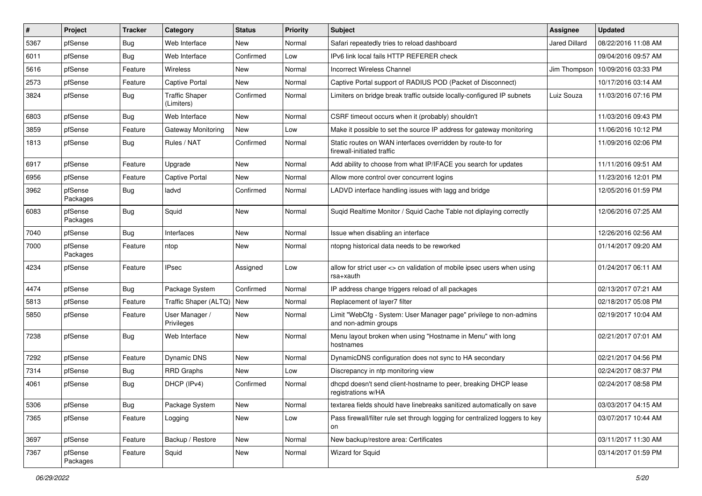| $\vert$ # | Project             | <b>Tracker</b> | Category                            | <b>Status</b> | <b>Priority</b> | <b>Subject</b>                                                                             | Assignee             | <b>Updated</b>      |
|-----------|---------------------|----------------|-------------------------------------|---------------|-----------------|--------------------------------------------------------------------------------------------|----------------------|---------------------|
| 5367      | pfSense             | <b>Bug</b>     | Web Interface                       | New           | Normal          | Safari repeatedly tries to reload dashboard                                                | <b>Jared Dillard</b> | 08/22/2016 11:08 AM |
| 6011      | pfSense             | Bug            | Web Interface                       | Confirmed     | Low             | IPv6 link local fails HTTP REFERER check                                                   |                      | 09/04/2016 09:57 AM |
| 5616      | pfSense             | Feature        | Wireless                            | New           | Normal          | <b>Incorrect Wireless Channel</b>                                                          | Jim Thompson         | 10/09/2016 03:33 PM |
| 2573      | pfSense             | Feature        | <b>Captive Portal</b>               | New           | Normal          | Captive Portal support of RADIUS POD (Packet of Disconnect)                                |                      | 10/17/2016 03:14 AM |
| 3824      | pfSense             | <b>Bug</b>     | <b>Traffic Shaper</b><br>(Limiters) | Confirmed     | Normal          | Limiters on bridge break traffic outside locally-configured IP subnets                     | Luiz Souza           | 11/03/2016 07:16 PM |
| 6803      | pfSense             | Bug            | Web Interface                       | <b>New</b>    | Normal          | CSRF timeout occurs when it (probably) shouldn't                                           |                      | 11/03/2016 09:43 PM |
| 3859      | pfSense             | Feature        | <b>Gateway Monitoring</b>           | <b>New</b>    | Low             | Make it possible to set the source IP address for gateway monitoring                       |                      | 11/06/2016 10:12 PM |
| 1813      | pfSense             | Bug            | Rules / NAT                         | Confirmed     | Normal          | Static routes on WAN interfaces overridden by route-to for<br>firewall-initiated traffic   |                      | 11/09/2016 02:06 PM |
| 6917      | pfSense             | Feature        | Upgrade                             | New           | Normal          | Add ability to choose from what IP/IFACE you search for updates                            |                      | 11/11/2016 09:51 AM |
| 6956      | pfSense             | Feature        | <b>Captive Portal</b>               | New           | Normal          | Allow more control over concurrent logins                                                  |                      | 11/23/2016 12:01 PM |
| 3962      | pfSense<br>Packages | Bug            | ladvd                               | Confirmed     | Normal          | LADVD interface handling issues with lagg and bridge                                       |                      | 12/05/2016 01:59 PM |
| 6083      | pfSense<br>Packages | Bug            | Squid                               | New           | Normal          | Sugid Realtime Monitor / Squid Cache Table not diplaying correctly                         |                      | 12/06/2016 07:25 AM |
| 7040      | pfSense             | Bug            | Interfaces                          | New           | Normal          | Issue when disabling an interface                                                          |                      | 12/26/2016 02:56 AM |
| 7000      | pfSense<br>Packages | Feature        | ntop                                | New           | Normal          | ntopng historical data needs to be reworked                                                |                      | 01/14/2017 09:20 AM |
| 4234      | pfSense             | Feature        | IPsec                               | Assigned      | Low             | allow for strict user <> cn validation of mobile ipsec users when using<br>rsa+xauth       |                      | 01/24/2017 06:11 AM |
| 4474      | pfSense             | <b>Bug</b>     | Package System                      | Confirmed     | Normal          | IP address change triggers reload of all packages                                          |                      | 02/13/2017 07:21 AM |
| 5813      | pfSense             | Feature        | Traffic Shaper (ALTQ)   New         |               | Normal          | Replacement of layer7 filter                                                               |                      | 02/18/2017 05:08 PM |
| 5850      | pfSense             | Feature        | User Manager /<br>Privileges        | New           | Normal          | Limit "WebCfg - System: User Manager page" privilege to non-admins<br>and non-admin groups |                      | 02/19/2017 10:04 AM |
| 7238      | pfSense             | Bug            | Web Interface                       | <b>New</b>    | Normal          | Menu layout broken when using "Hostname in Menu" with long<br>hostnames                    |                      | 02/21/2017 07:01 AM |
| 7292      | pfSense             | Feature        | Dynamic DNS                         | <b>New</b>    | Normal          | DynamicDNS configuration does not sync to HA secondary                                     |                      | 02/21/2017 04:56 PM |
| 7314      | pfSense             | <b>Bug</b>     | <b>RRD Graphs</b>                   | New           | Low             | Discrepancy in ntp monitoring view                                                         |                      | 02/24/2017 08:37 PM |
| 4061      | pfSense             | Bug            | DHCP (IPv4)                         | Confirmed     | Normal          | dhcpd doesn't send client-hostname to peer, breaking DHCP lease<br>registrations w/HA      |                      | 02/24/2017 08:58 PM |
| 5306      | pfSense             | <b>Bug</b>     | Package System                      | New           | Normal          | textarea fields should have linebreaks sanitized automatically on save                     |                      | 03/03/2017 04:15 AM |
| 7365      | pfSense             | Feature        | Logging                             | New           | Low             | Pass firewall/filter rule set through logging for centralized loggers to key<br>on         |                      | 03/07/2017 10:44 AM |
| 3697      | pfSense             | Feature        | Backup / Restore                    | New           | Normal          | New backup/restore area: Certificates                                                      |                      | 03/11/2017 11:30 AM |
| 7367      | pfSense<br>Packages | Feature        | Squid                               | New           | Normal          | Wizard for Squid                                                                           |                      | 03/14/2017 01:59 PM |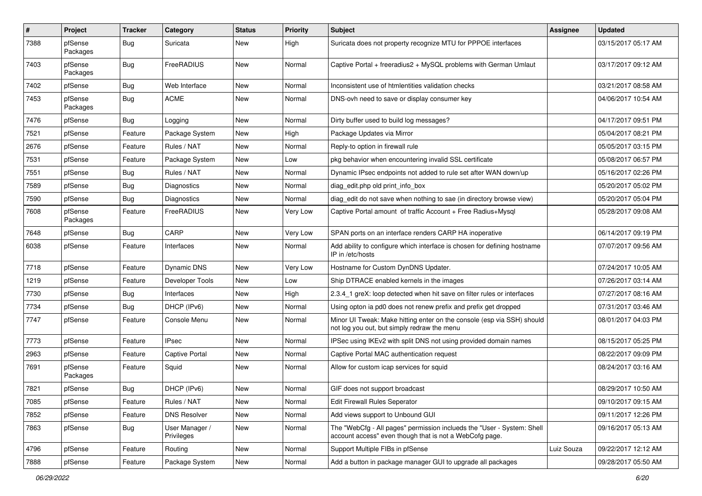| $\vert$ # | Project             | <b>Tracker</b> | Category                     | <b>Status</b> | <b>Priority</b> | <b>Subject</b>                                                                                                                    | Assignee   | <b>Updated</b>      |
|-----------|---------------------|----------------|------------------------------|---------------|-----------------|-----------------------------------------------------------------------------------------------------------------------------------|------------|---------------------|
| 7388      | pfSense<br>Packages | Bug            | Suricata                     | New           | High            | Suricata does not property recognize MTU for PPPOE interfaces                                                                     |            | 03/15/2017 05:17 AM |
| 7403      | pfSense<br>Packages | Bug            | FreeRADIUS                   | New           | Normal          | Captive Portal + freeradius2 + MySQL problems with German Umlaut                                                                  |            | 03/17/2017 09:12 AM |
| 7402      | pfSense             | Bug            | Web Interface                | New           | Normal          | Inconsistent use of htmlentities validation checks                                                                                |            | 03/21/2017 08:58 AM |
| 7453      | pfSense<br>Packages | Bug            | <b>ACME</b>                  | New           | Normal          | DNS-ovh need to save or display consumer key                                                                                      |            | 04/06/2017 10:54 AM |
| 7476      | pfSense             | Bug            | Logging                      | <b>New</b>    | Normal          | Dirty buffer used to build log messages?                                                                                          |            | 04/17/2017 09:51 PM |
| 7521      | pfSense             | Feature        | Package System               | New           | High            | Package Updates via Mirror                                                                                                        |            | 05/04/2017 08:21 PM |
| 2676      | pfSense             | Feature        | Rules / NAT                  | <b>New</b>    | Normal          | Reply-to option in firewall rule                                                                                                  |            | 05/05/2017 03:15 PM |
| 7531      | pfSense             | Feature        | Package System               | New           | Low             | pkg behavior when encountering invalid SSL certificate                                                                            |            | 05/08/2017 06:57 PM |
| 7551      | pfSense             | Bug            | Rules / NAT                  | New           | Normal          | Dynamic IPsec endpoints not added to rule set after WAN down/up                                                                   |            | 05/16/2017 02:26 PM |
| 7589      | pfSense             | Bug            | Diagnostics                  | New           | Normal          | diag edit.php old print info box                                                                                                  |            | 05/20/2017 05:02 PM |
| 7590      | pfSense             | <b>Bug</b>     | Diagnostics                  | New           | Normal          | diag edit do not save when nothing to sae (in directory browse view)                                                              |            | 05/20/2017 05:04 PM |
| 7608      | pfSense<br>Packages | Feature        | FreeRADIUS                   | New           | Very Low        | Captive Portal amount of traffic Account + Free Radius+Mysql                                                                      |            | 05/28/2017 09:08 AM |
| 7648      | pfSense             | Bug            | CARP                         | New           | Very Low        | SPAN ports on an interface renders CARP HA inoperative                                                                            |            | 06/14/2017 09:19 PM |
| 6038      | pfSense             | Feature        | Interfaces                   | New           | Normal          | Add ability to configure which interface is chosen for defining hostname<br>IP in /etc/hosts                                      |            | 07/07/2017 09:56 AM |
| 7718      | pfSense             | Feature        | Dynamic DNS                  | New           | Very Low        | Hostname for Custom DynDNS Updater.                                                                                               |            | 07/24/2017 10:05 AM |
| 1219      | pfSense             | Feature        | Developer Tools              | New           | Low             | Ship DTRACE enabled kernels in the images                                                                                         |            | 07/26/2017 03:14 AM |
| 7730      | pfSense             | <b>Bug</b>     | Interfaces                   | New           | High            | 2.3.4 1 greX: loop detected when hit save on filter rules or interfaces                                                           |            | 07/27/2017 08:16 AM |
| 7734      | pfSense             | Bug            | DHCP (IPv6)                  | New           | Normal          | Using opton ia pd0 does not renew prefix and prefix get dropped                                                                   |            | 07/31/2017 03:46 AM |
| 7747      | pfSense             | Feature        | Console Menu                 | New           | Normal          | Minor UI Tweak: Make hitting enter on the console (esp via SSH) should<br>not log you out, but simply redraw the menu             |            | 08/01/2017 04:03 PM |
| 7773      | pfSense             | Feature        | <b>IPsec</b>                 | New           | Normal          | IPSec using IKEv2 with split DNS not using provided domain names                                                                  |            | 08/15/2017 05:25 PM |
| 2963      | pfSense             | Feature        | <b>Captive Portal</b>        | New           | Normal          | Captive Portal MAC authentication request                                                                                         |            | 08/22/2017 09:09 PM |
| 7691      | pfSense<br>Packages | Feature        | Squid                        | New           | Normal          | Allow for custom icap services for squid                                                                                          |            | 08/24/2017 03:16 AM |
| 7821      | pfSense             | Bug            | DHCP (IPv6)                  | New           | Normal          | GIF does not support broadcast                                                                                                    |            | 08/29/2017 10:50 AM |
| 7085      | pfSense             | Feature        | Rules / NAT                  | New           | Normal          | Edit Firewall Rules Seperator                                                                                                     |            | 09/10/2017 09:15 AM |
| 7852      | pfSense             | Feature        | <b>DNS Resolver</b>          | New           | Normal          | Add views support to Unbound GUI                                                                                                  |            | 09/11/2017 12:26 PM |
| 7863      | pfSense             | <b>Bug</b>     | User Manager /<br>Privileges | New           | Normal          | The "WebCfg - All pages" permission inclueds the "User - System: Shell<br>account access" even though that is not a WebCofg page. |            | 09/16/2017 05:13 AM |
| 4796      | pfSense             | Feature        | Routing                      | New           | Normal          | Support Multiple FIBs in pfSense                                                                                                  | Luiz Souza | 09/22/2017 12:12 AM |
| 7888      | pfSense             | Feature        | Package System               | New           | Normal          | Add a button in package manager GUI to upgrade all packages                                                                       |            | 09/28/2017 05:50 AM |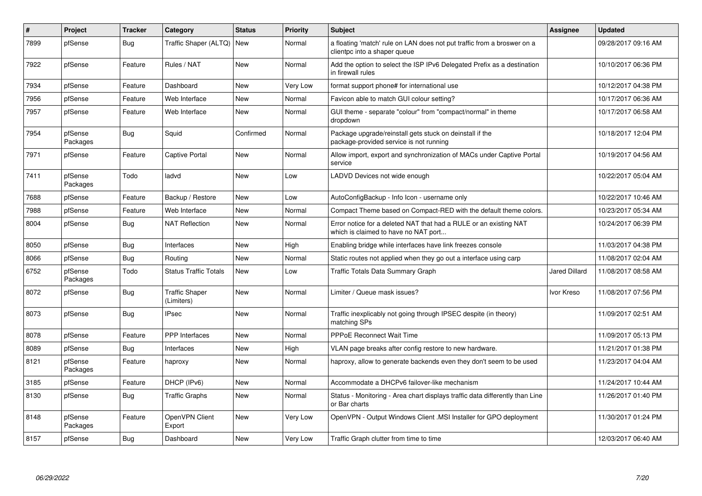| ∦    | Project             | <b>Tracker</b> | Category                            | <b>Status</b> | <b>Priority</b> | Subject                                                                                                   | <b>Assignee</b>      | <b>Updated</b>      |
|------|---------------------|----------------|-------------------------------------|---------------|-----------------|-----------------------------------------------------------------------------------------------------------|----------------------|---------------------|
| 7899 | pfSense             | Bug            | Traffic Shaper (ALTQ)               | <b>New</b>    | Normal          | a floating 'match' rule on LAN does not put traffic from a broswer on a<br>clientpc into a shaper queue   |                      | 09/28/2017 09:16 AM |
| 7922 | pfSense             | Feature        | Rules / NAT                         | <b>New</b>    | Normal          | Add the option to select the ISP IPv6 Delegated Prefix as a destination<br>in firewall rules              |                      | 10/10/2017 06:36 PM |
| 7934 | pfSense             | Feature        | Dashboard                           | New           | Very Low        | format support phone# for international use                                                               |                      | 10/12/2017 04:38 PM |
| 7956 | pfSense             | Feature        | Web Interface                       | New           | Normal          | Favicon able to match GUI colour setting?                                                                 |                      | 10/17/2017 06:36 AM |
| 7957 | pfSense             | Feature        | Web Interface                       | New           | Normal          | GUI theme - separate "colour" from "compact/normal" in theme<br>dropdown                                  |                      | 10/17/2017 06:58 AM |
| 7954 | pfSense<br>Packages | Bug            | Squid                               | Confirmed     | Normal          | Package upgrade/reinstall gets stuck on deinstall if the<br>package-provided service is not running       |                      | 10/18/2017 12:04 PM |
| 7971 | pfSense             | Feature        | <b>Captive Portal</b>               | New           | Normal          | Allow import, export and synchronization of MACs under Captive Portal<br>service                          |                      | 10/19/2017 04:56 AM |
| 7411 | pfSense<br>Packages | Todo           | ladvd                               | <b>New</b>    | Low             | LADVD Devices not wide enough                                                                             |                      | 10/22/2017 05:04 AM |
| 7688 | pfSense             | Feature        | Backup / Restore                    | <b>New</b>    | Low             | AutoConfigBackup - Info Icon - username only                                                              |                      | 10/22/2017 10:46 AM |
| 7988 | pfSense             | Feature        | Web Interface                       | New           | Normal          | Compact Theme based on Compact-RED with the default theme colors.                                         |                      | 10/23/2017 05:34 AM |
| 8004 | pfSense             | Bug            | <b>NAT Reflection</b>               | <b>New</b>    | Normal          | Error notice for a deleted NAT that had a RULE or an existing NAT<br>which is claimed to have no NAT port |                      | 10/24/2017 06:39 PM |
| 8050 | pfSense             | Bug            | Interfaces                          | <b>New</b>    | High            | Enabling bridge while interfaces have link freezes console                                                |                      | 11/03/2017 04:38 PM |
| 8066 | pfSense             | Bug            | Routing                             | <b>New</b>    | Normal          | Static routes not applied when they go out a interface using carp                                         |                      | 11/08/2017 02:04 AM |
| 6752 | pfSense<br>Packages | Todo           | <b>Status Traffic Totals</b>        | New           | Low             | Traffic Totals Data Summary Graph                                                                         | <b>Jared Dillard</b> | 11/08/2017 08:58 AM |
| 8072 | pfSense             | Bug            | <b>Traffic Shaper</b><br>(Limiters) | New           | Normal          | Limiter / Queue mask issues?                                                                              | Ivor Kreso           | 11/08/2017 07:56 PM |
| 8073 | pfSense             | Bug            | <b>IPsec</b>                        | New           | Normal          | Traffic inexplicably not going through IPSEC despite (in theory)<br>matching SPs                          |                      | 11/09/2017 02:51 AM |
| 8078 | pfSense             | Feature        | <b>PPP</b> Interfaces               | New           | Normal          | <b>PPPoE Reconnect Wait Time</b>                                                                          |                      | 11/09/2017 05:13 PM |
| 8089 | pfSense             | Bug            | Interfaces                          | <b>New</b>    | High            | VLAN page breaks after config restore to new hardware.                                                    |                      | 11/21/2017 01:38 PM |
| 8121 | pfSense<br>Packages | Feature        | haproxy                             | New           | Normal          | haproxy, allow to generate backends even they don't seem to be used                                       |                      | 11/23/2017 04:04 AM |
| 3185 | pfSense             | Feature        | DHCP (IPv6)                         | <b>New</b>    | Normal          | Accommodate a DHCPv6 failover-like mechanism                                                              |                      | 11/24/2017 10:44 AM |
| 8130 | pfSense             | <b>Bug</b>     | <b>Traffic Graphs</b>               | New           | Normal          | Status - Monitoring - Area chart displays traffic data differently than Line<br>or Bar charts             |                      | 11/26/2017 01:40 PM |
| 8148 | pfSense<br>Packages | Feature        | OpenVPN Client<br>Export            | <b>New</b>    | Very Low        | OpenVPN - Output Windows Client .MSI Installer for GPO deployment                                         |                      | 11/30/2017 01:24 PM |
| 8157 | pfSense             | Bug            | Dashboard                           | <b>New</b>    | Very Low        | Traffic Graph clutter from time to time                                                                   |                      | 12/03/2017 06:40 AM |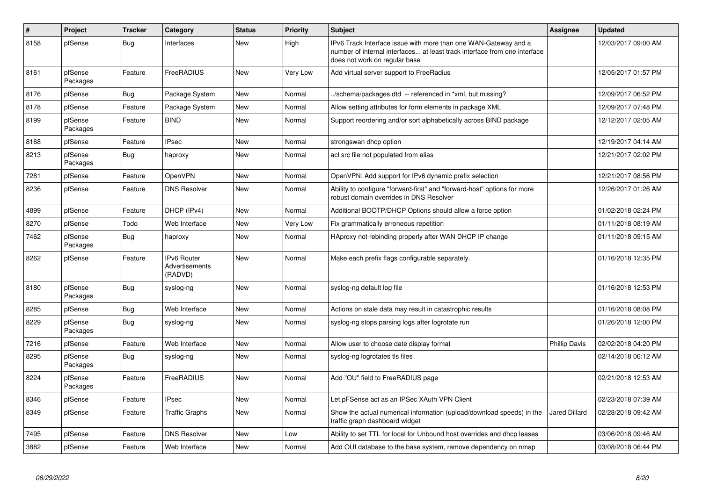| #    | Project             | <b>Tracker</b> | Category                                 | <b>Status</b> | <b>Priority</b> | <b>Subject</b>                                                                                                                                                                | Assignee             | <b>Updated</b>      |
|------|---------------------|----------------|------------------------------------------|---------------|-----------------|-------------------------------------------------------------------------------------------------------------------------------------------------------------------------------|----------------------|---------------------|
| 8158 | pfSense             | Bug            | Interfaces                               | <b>New</b>    | High            | IPv6 Track Interface issue with more than one WAN-Gateway and a<br>number of internal interfaces at least track interface from one interface<br>does not work on regular base |                      | 12/03/2017 09:00 AM |
| 8161 | pfSense<br>Packages | Feature        | FreeRADIUS                               | New           | Very Low        | Add virtual server support to FreeRadius                                                                                                                                      |                      | 12/05/2017 01:57 PM |
| 8176 | pfSense             | Bug            | Package System                           | New           | Normal          | ./schema/packages.dtd -- referenced in *xml, but missing?                                                                                                                     |                      | 12/09/2017 06:52 PM |
| 8178 | pfSense             | Feature        | Package System                           | <b>New</b>    | Normal          | Allow setting attributes for form elements in package XML                                                                                                                     |                      | 12/09/2017 07:48 PM |
| 8199 | pfSense<br>Packages | Feature        | <b>BIND</b>                              | New           | Normal          | Support reordering and/or sort alphabetically across BIND package                                                                                                             |                      | 12/12/2017 02:05 AM |
| 8168 | pfSense             | Feature        | <b>IPsec</b>                             | <b>New</b>    | Normal          | strongswan dhcp option                                                                                                                                                        |                      | 12/19/2017 04:14 AM |
| 8213 | pfSense<br>Packages | Bug            | haproxy                                  | New           | Normal          | acl src file not populated from alias                                                                                                                                         |                      | 12/21/2017 02:02 PM |
| 7281 | pfSense             | Feature        | OpenVPN                                  | <b>New</b>    | Normal          | OpenVPN: Add support for IPv6 dynamic prefix selection                                                                                                                        |                      | 12/21/2017 08:56 PM |
| 8236 | pfSense             | Feature        | <b>DNS Resolver</b>                      | <b>New</b>    | Normal          | Ability to configure "forward-first" and "forward-host" options for more<br>robust domain overrides in DNS Resolver                                                           |                      | 12/26/2017 01:26 AM |
| 4899 | pfSense             | Feature        | DHCP (IPv4)                              | <b>New</b>    | Normal          | Additional BOOTP/DHCP Options should allow a force option                                                                                                                     |                      | 01/02/2018 02:24 PM |
| 8270 | pfSense             | Todo           | Web Interface                            | New           | Very Low        | Fix grammatically erroneous repetition                                                                                                                                        |                      | 01/11/2018 08:19 AM |
| 7462 | pfSense<br>Packages | <b>Bug</b>     | haproxy                                  | New           | Normal          | HAproxy not rebinding properly after WAN DHCP IP change                                                                                                                       |                      | 01/11/2018 09:15 AM |
| 8262 | pfSense             | Feature        | IPv6 Router<br>Advertisements<br>(RADVD) | New           | Normal          | Make each prefix flags configurable separately.                                                                                                                               |                      | 01/16/2018 12:35 PM |
| 8180 | pfSense<br>Packages | Bug            | syslog-ng                                | <b>New</b>    | Normal          | syslog-ng default log file                                                                                                                                                    |                      | 01/16/2018 12:53 PM |
| 8285 | pfSense             | Bug            | Web Interface                            | New           | Normal          | Actions on stale data may result in catastrophic results                                                                                                                      |                      | 01/16/2018 08:08 PM |
| 8229 | pfSense<br>Packages | Bug            | syslog-ng                                | New           | Normal          | syslog-ng stops parsing logs after logrotate run                                                                                                                              |                      | 01/26/2018 12:00 PM |
| 7216 | pfSense             | Feature        | Web Interface                            | <b>New</b>    | Normal          | Allow user to choose date display format                                                                                                                                      | <b>Phillip Davis</b> | 02/02/2018 04:20 PM |
| 8295 | pfSense<br>Packages | <b>Bug</b>     | syslog-ng                                | <b>New</b>    | Normal          | syslog-ng logrotates tls files                                                                                                                                                |                      | 02/14/2018 06:12 AM |
| 8224 | pfSense<br>Packages | Feature        | FreeRADIUS                               | <b>New</b>    | Normal          | Add "OU" field to FreeRADIUS page                                                                                                                                             |                      | 02/21/2018 12:53 AM |
| 8346 | pfSense             | Feature        | <b>IPsec</b>                             | <b>New</b>    | Normal          | Let pFSense act as an IPSec XAuth VPN Client                                                                                                                                  |                      | 02/23/2018 07:39 AM |
| 8349 | pfSense             | Feature        | <b>Traffic Graphs</b>                    | New           | Normal          | Show the actual numerical information (upload/download speeds) in the<br>traffic graph dashboard widget                                                                       | <b>Jared Dillard</b> | 02/28/2018 09:42 AM |
| 7495 | pfSense             | Feature        | <b>DNS Resolver</b>                      | New           | Low             | Ability to set TTL for local for Unbound host overrides and dhcp leases                                                                                                       |                      | 03/06/2018 09:46 AM |
| 3882 | pfSense             | Feature        | Web Interface                            | New           | Normal          | Add OUI database to the base system, remove dependency on nmap                                                                                                                |                      | 03/08/2018 06:44 PM |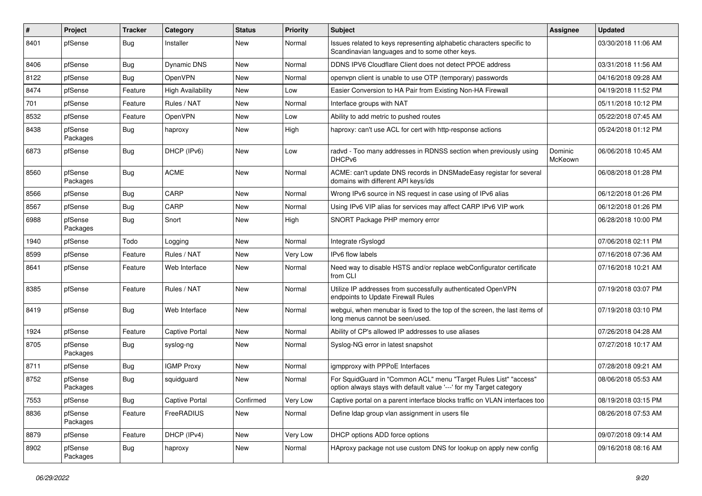| $\vert$ # | Project             | <b>Tracker</b> | Category                 | <b>Status</b> | <b>Priority</b> | <b>Subject</b>                                                                                                                          | <b>Assignee</b>    | <b>Updated</b>      |
|-----------|---------------------|----------------|--------------------------|---------------|-----------------|-----------------------------------------------------------------------------------------------------------------------------------------|--------------------|---------------------|
| 8401      | pfSense             | Bug            | Installer                | New           | Normal          | Issues related to keys representing alphabetic characters specific to<br>Scandinavian languages and to some other keys.                 |                    | 03/30/2018 11:06 AM |
| 8406      | pfSense             | Bug            | Dynamic DNS              | New           | Normal          | DDNS IPV6 Cloudflare Client does not detect PPOE address                                                                                |                    | 03/31/2018 11:56 AM |
| 8122      | pfSense             | Bug            | OpenVPN                  | New           | Normal          | openvpn client is unable to use OTP (temporary) passwords                                                                               |                    | 04/16/2018 09:28 AM |
| 8474      | pfSense             | Feature        | <b>High Availability</b> | New           | Low             | Easier Conversion to HA Pair from Existing Non-HA Firewall                                                                              |                    | 04/19/2018 11:52 PM |
| 701       | pfSense             | Feature        | Rules / NAT              | New           | Normal          | Interface groups with NAT                                                                                                               |                    | 05/11/2018 10:12 PM |
| 8532      | pfSense             | Feature        | OpenVPN                  | New           | Low             | Ability to add metric to pushed routes                                                                                                  |                    | 05/22/2018 07:45 AM |
| 8438      | pfSense<br>Packages | Bug            | haproxy                  | New           | High            | haproxy: can't use ACL for cert with http-response actions                                                                              |                    | 05/24/2018 01:12 PM |
| 6873      | pfSense             | Bug            | DHCP (IPv6)              | New           | Low             | radvd - Too many addresses in RDNSS section when previously using<br>DHCP <sub>v6</sub>                                                 | Dominic<br>McKeown | 06/06/2018 10:45 AM |
| 8560      | pfSense<br>Packages | Bug            | <b>ACME</b>              | <b>New</b>    | Normal          | ACME: can't update DNS records in DNSMadeEasy registar for several<br>domains with different API keys/ids                               |                    | 06/08/2018 01:28 PM |
| 8566      | pfSense             | Bug            | CARP                     | New           | Normal          | Wrong IPv6 source in NS request in case using of IPv6 alias                                                                             |                    | 06/12/2018 01:26 PM |
| 8567      | pfSense             | Bug            | CARP                     | New           | Normal          | Using IPv6 VIP alias for services may affect CARP IPv6 VIP work                                                                         |                    | 06/12/2018 01:26 PM |
| 6988      | pfSense<br>Packages | Bug            | Snort                    | New           | High            | SNORT Package PHP memory error                                                                                                          |                    | 06/28/2018 10:00 PM |
| 1940      | pfSense             | Todo           | Logging                  | New           | Normal          | Integrate rSyslogd                                                                                                                      |                    | 07/06/2018 02:11 PM |
| 8599      | pfSense             | Feature        | Rules / NAT              | New           | Very Low        | IPv6 flow labels                                                                                                                        |                    | 07/16/2018 07:36 AM |
| 8641      | pfSense             | Feature        | Web Interface            | New           | Normal          | Need way to disable HSTS and/or replace webConfigurator certificate<br>from CLI                                                         |                    | 07/16/2018 10:21 AM |
| 8385      | pfSense             | Feature        | Rules / NAT              | New           | Normal          | Utilize IP addresses from successfully authenticated OpenVPN<br>endpoints to Update Firewall Rules                                      |                    | 07/19/2018 03:07 PM |
| 8419      | pfSense             | Bug            | Web Interface            | New           | Normal          | webgui, when menubar is fixed to the top of the screen, the last items of<br>long menus cannot be seen/used.                            |                    | 07/19/2018 03:10 PM |
| 1924      | pfSense             | Feature        | <b>Captive Portal</b>    | New           | Normal          | Ability of CP's allowed IP addresses to use aliases                                                                                     |                    | 07/26/2018 04:28 AM |
| 8705      | pfSense<br>Packages | Bug            | syslog-ng                | <b>New</b>    | Normal          | Syslog-NG error in latest snapshot                                                                                                      |                    | 07/27/2018 10:17 AM |
| 8711      | pfSense             | <b>Bug</b>     | <b>IGMP Proxy</b>        | New           | Normal          | igmpproxy with PPPoE Interfaces                                                                                                         |                    | 07/28/2018 09:21 AM |
| 8752      | pfSense<br>Packages | Bug            | squidguard               | New           | Normal          | For SquidGuard in "Common ACL" menu "Target Rules List" "access"<br>option always stays with default value '---' for my Target category |                    | 08/06/2018 05:53 AM |
| 7553      | pfSense             | Bug            | <b>Captive Portal</b>    | Confirmed     | Very Low        | Captive portal on a parent interface blocks traffic on VLAN interfaces too                                                              |                    | 08/19/2018 03:15 PM |
| 8836      | pfSense<br>Packages | Feature        | FreeRADIUS               | New           | Normal          | Define Idap group vlan assignment in users file                                                                                         |                    | 08/26/2018 07:53 AM |
| 8879      | pfSense             | Feature        | DHCP (IPv4)              | New           | Very Low        | DHCP options ADD force options                                                                                                          |                    | 09/07/2018 09:14 AM |
| 8902      | pfSense<br>Packages | <b>Bug</b>     | haproxy                  | New           | Normal          | HAproxy package not use custom DNS for lookup on apply new config                                                                       |                    | 09/16/2018 08:16 AM |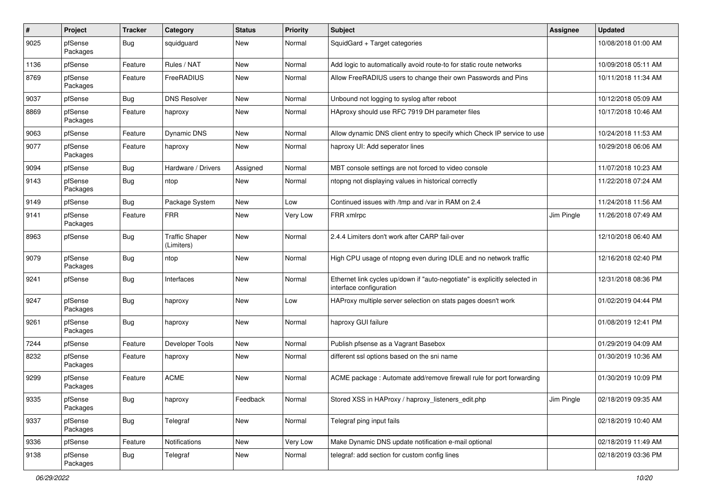| #    | Project             | <b>Tracker</b> | Category                            | <b>Status</b> | <b>Priority</b> | Subject                                                                                               | <b>Assignee</b> | <b>Updated</b>      |
|------|---------------------|----------------|-------------------------------------|---------------|-----------------|-------------------------------------------------------------------------------------------------------|-----------------|---------------------|
| 9025 | pfSense<br>Packages | <b>Bug</b>     | squidguard                          | <b>New</b>    | Normal          | SquidGard + Target categories                                                                         |                 | 10/08/2018 01:00 AM |
| 1136 | pfSense             | Feature        | Rules / NAT                         | <b>New</b>    | Normal          | Add logic to automatically avoid route-to for static route networks                                   |                 | 10/09/2018 05:11 AM |
| 8769 | pfSense<br>Packages | Feature        | FreeRADIUS                          | <b>New</b>    | Normal          | Allow FreeRADIUS users to change their own Passwords and Pins                                         |                 | 10/11/2018 11:34 AM |
| 9037 | pfSense             | <b>Bug</b>     | <b>DNS Resolver</b>                 | <b>New</b>    | Normal          | Unbound not logging to syslog after reboot                                                            |                 | 10/12/2018 05:09 AM |
| 8869 | pfSense<br>Packages | Feature        | haproxy                             | <b>New</b>    | Normal          | HAproxy should use RFC 7919 DH parameter files                                                        |                 | 10/17/2018 10:46 AM |
| 9063 | pfSense             | Feature        | <b>Dynamic DNS</b>                  | <b>New</b>    | Normal          | Allow dynamic DNS client entry to specify which Check IP service to use                               |                 | 10/24/2018 11:53 AM |
| 9077 | pfSense<br>Packages | Feature        | haproxy                             | <b>New</b>    | Normal          | haproxy UI: Add seperator lines                                                                       |                 | 10/29/2018 06:06 AM |
| 9094 | pfSense             | Bug            | Hardware / Drivers                  | Assigned      | Normal          | MBT console settings are not forced to video console                                                  |                 | 11/07/2018 10:23 AM |
| 9143 | pfSense<br>Packages | <b>Bug</b>     | ntop                                | <b>New</b>    | Normal          | ntopng not displaying values in historical correctly                                                  |                 | 11/22/2018 07:24 AM |
| 9149 | pfSense             | <b>Bug</b>     | Package System                      | <b>New</b>    | Low             | Continued issues with /tmp and /var in RAM on 2.4                                                     |                 | 11/24/2018 11:56 AM |
| 9141 | pfSense<br>Packages | Feature        | <b>FRR</b>                          | <b>New</b>    | Very Low        | FRR xmlrpc                                                                                            | Jim Pingle      | 11/26/2018 07:49 AM |
| 8963 | pfSense             | <b>Bug</b>     | <b>Traffic Shaper</b><br>(Limiters) | <b>New</b>    | Normal          | 2.4.4 Limiters don't work after CARP fail-over                                                        |                 | 12/10/2018 06:40 AM |
| 9079 | pfSense<br>Packages | Bug            | ntop                                | <b>New</b>    | Normal          | High CPU usage of ntopng even during IDLE and no network traffic                                      |                 | 12/16/2018 02:40 PM |
| 9241 | pfSense             | Bug            | Interfaces                          | <b>New</b>    | Normal          | Ethernet link cycles up/down if "auto-negotiate" is explicitly selected in<br>interface configuration |                 | 12/31/2018 08:36 PM |
| 9247 | pfSense<br>Packages | Bug            | haproxy                             | <b>New</b>    | Low             | HAProxy multiple server selection on stats pages doesn't work                                         |                 | 01/02/2019 04:44 PM |
| 9261 | pfSense<br>Packages | <b>Bug</b>     | haproxy                             | <b>New</b>    | Normal          | haproxy GUI failure                                                                                   |                 | 01/08/2019 12:41 PM |
| 7244 | pfSense             | Feature        | Developer Tools                     | <b>New</b>    | Normal          | Publish pfsense as a Vagrant Basebox                                                                  |                 | 01/29/2019 04:09 AM |
| 8232 | pfSense<br>Packages | Feature        | haproxy                             | <b>New</b>    | Normal          | different ssl options based on the sni name                                                           |                 | 01/30/2019 10:36 AM |
| 9299 | pfSense<br>Packages | Feature        | <b>ACME</b>                         | <b>New</b>    | Normal          | ACME package: Automate add/remove firewall rule for port forwarding                                   |                 | 01/30/2019 10:09 PM |
| 9335 | pfSense<br>Packages | <b>Bug</b>     | haproxy                             | Feedback      | Normal          | Stored XSS in HAProxy / haproxy_listeners_edit.php                                                    | Jim Pingle      | 02/18/2019 09:35 AM |
| 9337 | pfSense<br>Packages | <b>Bug</b>     | Telegraf                            | New           | Normal          | Telegraf ping input fails                                                                             |                 | 02/18/2019 10:40 AM |
| 9336 | pfSense             | Feature        | Notifications                       | New           | Very Low        | Make Dynamic DNS update notification e-mail optional                                                  |                 | 02/18/2019 11:49 AM |
| 9138 | pfSense<br>Packages | <b>Bug</b>     | Telegraf                            | New           | Normal          | telegraf: add section for custom config lines                                                         |                 | 02/18/2019 03:36 PM |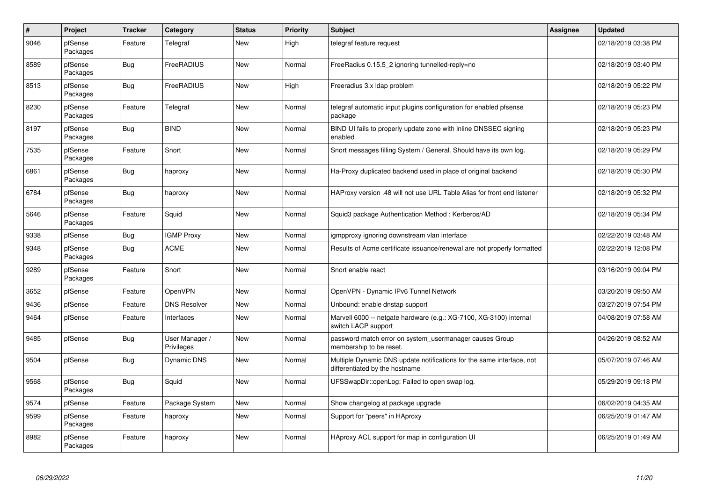| $\pmb{\#}$ | Project             | <b>Tracker</b> | Category                     | <b>Status</b> | <b>Priority</b> | <b>Subject</b>                                                                                          | <b>Assignee</b> | <b>Updated</b>      |
|------------|---------------------|----------------|------------------------------|---------------|-----------------|---------------------------------------------------------------------------------------------------------|-----------------|---------------------|
| 9046       | pfSense<br>Packages | Feature        | Telegraf                     | <b>New</b>    | High            | telegraf feature request                                                                                |                 | 02/18/2019 03:38 PM |
| 8589       | pfSense<br>Packages | <b>Bug</b>     | FreeRADIUS                   | <b>New</b>    | Normal          | FreeRadius 0.15.5 2 ignoring tunnelled-reply=no                                                         |                 | 02/18/2019 03:40 PM |
| 8513       | pfSense<br>Packages | <b>Bug</b>     | FreeRADIUS                   | <b>New</b>    | High            | Freeradius 3.x Idap problem                                                                             |                 | 02/18/2019 05:22 PM |
| 8230       | pfSense<br>Packages | Feature        | Telegraf                     | <b>New</b>    | Normal          | telegraf automatic input plugins configuration for enabled pfsense<br>package                           |                 | 02/18/2019 05:23 PM |
| 8197       | pfSense<br>Packages | <b>Bug</b>     | <b>BIND</b>                  | <b>New</b>    | Normal          | BIND UI fails to properly update zone with inline DNSSEC signing<br>enabled                             |                 | 02/18/2019 05:23 PM |
| 7535       | pfSense<br>Packages | Feature        | Snort                        | <b>New</b>    | Normal          | Snort messages filling System / General. Should have its own log.                                       |                 | 02/18/2019 05:29 PM |
| 6861       | pfSense<br>Packages | Bug            | haproxy                      | <b>New</b>    | Normal          | Ha-Proxy duplicated backend used in place of original backend                                           |                 | 02/18/2019 05:30 PM |
| 6784       | pfSense<br>Packages | <b>Bug</b>     | haproxy                      | <b>New</b>    | Normal          | HAProxy version .48 will not use URL Table Alias for front end listener                                 |                 | 02/18/2019 05:32 PM |
| 5646       | pfSense<br>Packages | Feature        | Squid                        | <b>New</b>    | Normal          | Squid3 package Authentication Method: Kerberos/AD                                                       |                 | 02/18/2019 05:34 PM |
| 9338       | pfSense             | Bug            | <b>IGMP Proxy</b>            | <b>New</b>    | Normal          | igmpproxy ignoring downstream vlan interface                                                            |                 | 02/22/2019 03:48 AM |
| 9348       | pfSense<br>Packages | <b>Bug</b>     | <b>ACME</b>                  | <b>New</b>    | Normal          | Results of Acme certificate issuance/renewal are not properly formatted                                 |                 | 02/22/2019 12:08 PM |
| 9289       | pfSense<br>Packages | Feature        | Snort                        | <b>New</b>    | Normal          | Snort enable react                                                                                      |                 | 03/16/2019 09:04 PM |
| 3652       | pfSense             | Feature        | OpenVPN                      | <b>New</b>    | Normal          | OpenVPN - Dynamic IPv6 Tunnel Network                                                                   |                 | 03/20/2019 09:50 AM |
| 9436       | pfSense             | Feature        | <b>DNS Resolver</b>          | <b>New</b>    | Normal          | Unbound: enable dnstap support                                                                          |                 | 03/27/2019 07:54 PM |
| 9464       | pfSense             | Feature        | Interfaces                   | <b>New</b>    | Normal          | Marvell 6000 -- netgate hardware (e.g.: XG-7100, XG-3100) internal<br>switch LACP support               |                 | 04/08/2019 07:58 AM |
| 9485       | pfSense             | <b>Bug</b>     | User Manager /<br>Privileges | <b>New</b>    | Normal          | password match error on system_usermanager causes Group<br>membership to be reset.                      |                 | 04/26/2019 08:52 AM |
| 9504       | pfSense             | Bug            | Dynamic DNS                  | <b>New</b>    | Normal          | Multiple Dynamic DNS update notifications for the same interface, not<br>differentiated by the hostname |                 | 05/07/2019 07:46 AM |
| 9568       | pfSense<br>Packages | <b>Bug</b>     | Squid                        | <b>New</b>    | Normal          | UFSSwapDir::openLog: Failed to open swap log.                                                           |                 | 05/29/2019 09:18 PM |
| 9574       | pfSense             | Feature        | Package System               | <b>New</b>    | Normal          | Show changelog at package upgrade                                                                       |                 | 06/02/2019 04:35 AM |
| 9599       | pfSense<br>Packages | Feature        | haproxy                      | <b>New</b>    | Normal          | Support for "peers" in HAproxy                                                                          |                 | 06/25/2019 01:47 AM |
| 8982       | pfSense<br>Packages | Feature        | haproxy                      | <b>New</b>    | Normal          | HAproxy ACL support for map in configuration UI                                                         |                 | 06/25/2019 01:49 AM |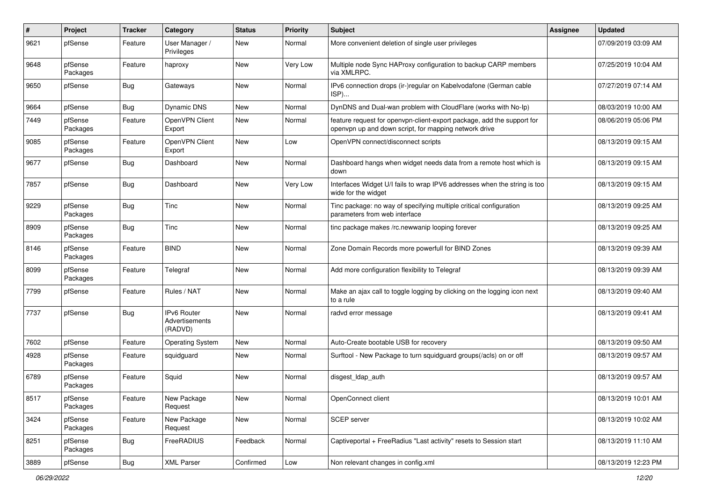| #    | Project             | <b>Tracker</b> | Category                                 | <b>Status</b> | Priority | <b>Subject</b>                                                                                                                  | <b>Assignee</b> | <b>Updated</b>      |
|------|---------------------|----------------|------------------------------------------|---------------|----------|---------------------------------------------------------------------------------------------------------------------------------|-----------------|---------------------|
| 9621 | pfSense             | Feature        | User Manager /<br>Privileges             | New           | Normal   | More convenient deletion of single user privileges                                                                              |                 | 07/09/2019 03:09 AM |
| 9648 | pfSense<br>Packages | Feature        | haproxy                                  | <b>New</b>    | Very Low | Multiple node Sync HAProxy configuration to backup CARP members<br>via XMLRPC.                                                  |                 | 07/25/2019 10:04 AM |
| 9650 | pfSense             | <b>Bug</b>     | Gateways                                 | <b>New</b>    | Normal   | IPv6 connection drops (ir-)regular on Kabelvodafone (German cable<br>ISP)                                                       |                 | 07/27/2019 07:14 AM |
| 9664 | pfSense             | Bug            | Dynamic DNS                              | <b>New</b>    | Normal   | DynDNS and Dual-wan problem with CloudFlare (works with No-Ip)                                                                  |                 | 08/03/2019 10:00 AM |
| 7449 | pfSense<br>Packages | Feature        | OpenVPN Client<br>Export                 | New           | Normal   | feature request for openvpn-client-export package, add the support for<br>openvpn up and down script, for mapping network drive |                 | 08/06/2019 05:06 PM |
| 9085 | pfSense<br>Packages | Feature        | OpenVPN Client<br>Export                 | New           | Low      | OpenVPN connect/disconnect scripts                                                                                              |                 | 08/13/2019 09:15 AM |
| 9677 | pfSense             | Bug            | Dashboard                                | New           | Normal   | Dashboard hangs when widget needs data from a remote host which is<br>down                                                      |                 | 08/13/2019 09:15 AM |
| 7857 | pfSense             | <b>Bug</b>     | Dashboard                                | <b>New</b>    | Very Low | Interfaces Widget U/I fails to wrap IPV6 addresses when the string is too<br>wide for the widget                                |                 | 08/13/2019 09:15 AM |
| 9229 | pfSense<br>Packages | <b>Bug</b>     | Tinc                                     | <b>New</b>    | Normal   | Tinc package: no way of specifying multiple critical configuration<br>parameters from web interface                             |                 | 08/13/2019 09:25 AM |
| 8909 | pfSense<br>Packages | Bug            | Tinc                                     | <b>New</b>    | Normal   | tinc package makes /rc.newwanip looping forever                                                                                 |                 | 08/13/2019 09:25 AM |
| 8146 | pfSense<br>Packages | Feature        | <b>BIND</b>                              | <b>New</b>    | Normal   | Zone Domain Records more powerfull for BIND Zones                                                                               |                 | 08/13/2019 09:39 AM |
| 8099 | pfSense<br>Packages | Feature        | Telegraf                                 | New           | Normal   | Add more configuration flexibility to Telegraf                                                                                  |                 | 08/13/2019 09:39 AM |
| 7799 | pfSense             | Feature        | Rules / NAT                              | <b>New</b>    | Normal   | Make an ajax call to toggle logging by clicking on the logging icon next<br>to a rule                                           |                 | 08/13/2019 09:40 AM |
| 7737 | pfSense             | Bug            | IPv6 Router<br>Advertisements<br>(RADVD) | <b>New</b>    | Normal   | radvd error message                                                                                                             |                 | 08/13/2019 09:41 AM |
| 7602 | pfSense             | Feature        | <b>Operating System</b>                  | <b>New</b>    | Normal   | Auto-Create bootable USB for recovery                                                                                           |                 | 08/13/2019 09:50 AM |
| 4928 | pfSense<br>Packages | Feature        | squidguard                               | <b>New</b>    | Normal   | Surftool - New Package to turn squidguard groups(/acls) on or off                                                               |                 | 08/13/2019 09:57 AM |
| 6789 | pfSense<br>Packages | Feature        | Squid                                    | <b>New</b>    | Normal   | disgest_ldap_auth                                                                                                               |                 | 08/13/2019 09:57 AM |
| 8517 | pfSense<br>Packages | Feature        | New Package<br>Request                   | New           | Normal   | OpenConnect client                                                                                                              |                 | 08/13/2019 10:01 AM |
| 3424 | pfSense<br>Packages | Feature        | New Package<br>Request                   | New           | Normal   | SCEP server                                                                                                                     |                 | 08/13/2019 10:02 AM |
| 8251 | pfSense<br>Packages | <b>Bug</b>     | FreeRADIUS                               | Feedback      | Normal   | Captiveportal + FreeRadius "Last activity" resets to Session start                                                              |                 | 08/13/2019 11:10 AM |
| 3889 | pfSense             | <b>Bug</b>     | <b>XML Parser</b>                        | Confirmed     | Low      | Non relevant changes in config.xml                                                                                              |                 | 08/13/2019 12:23 PM |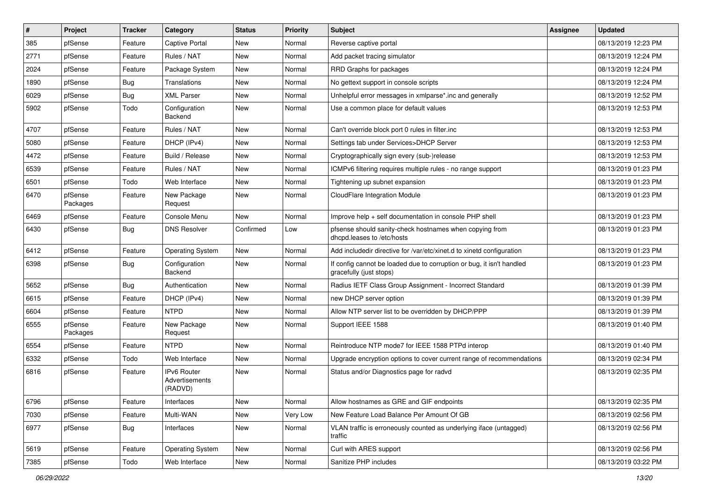| #    | Project             | <b>Tracker</b> | Category                                 | <b>Status</b> | Priority | <b>Subject</b>                                                                                   | <b>Assignee</b> | <b>Updated</b>      |
|------|---------------------|----------------|------------------------------------------|---------------|----------|--------------------------------------------------------------------------------------------------|-----------------|---------------------|
| 385  | pfSense             | Feature        | <b>Captive Portal</b>                    | New           | Normal   | Reverse captive portal                                                                           |                 | 08/13/2019 12:23 PM |
| 2771 | pfSense             | Feature        | Rules / NAT                              | <b>New</b>    | Normal   | Add packet tracing simulator                                                                     |                 | 08/13/2019 12:24 PM |
| 2024 | pfSense             | Feature        | Package System                           | New           | Normal   | RRD Graphs for packages                                                                          |                 | 08/13/2019 12:24 PM |
| 1890 | pfSense             | Bug            | Translations                             | New           | Normal   | No gettext support in console scripts                                                            |                 | 08/13/2019 12:24 PM |
| 6029 | pfSense             | <b>Bug</b>     | <b>XML Parser</b>                        | New           | Normal   | Unhelpful error messages in xmlparse*.inc and generally                                          |                 | 08/13/2019 12:52 PM |
| 5902 | pfSense             | Todo           | Configuration<br>Backend                 | New           | Normal   | Use a common place for default values                                                            |                 | 08/13/2019 12:53 PM |
| 4707 | pfSense             | Feature        | Rules / NAT                              | New           | Normal   | Can't override block port 0 rules in filter.inc                                                  |                 | 08/13/2019 12:53 PM |
| 5080 | pfSense             | Feature        | DHCP (IPv4)                              | <b>New</b>    | Normal   | Settings tab under Services>DHCP Server                                                          |                 | 08/13/2019 12:53 PM |
| 4472 | pfSense             | Feature        | Build / Release                          | New           | Normal   | Cryptographically sign every (sub-)release                                                       |                 | 08/13/2019 12:53 PM |
| 6539 | pfSense             | Feature        | Rules / NAT                              | New           | Normal   | ICMPv6 filtering requires multiple rules - no range support                                      |                 | 08/13/2019 01:23 PM |
| 6501 | pfSense             | Todo           | Web Interface                            | New           | Normal   | Tightening up subnet expansion                                                                   |                 | 08/13/2019 01:23 PM |
| 6470 | pfSense<br>Packages | Feature        | New Package<br>Request                   | New           | Normal   | CloudFlare Integration Module                                                                    |                 | 08/13/2019 01:23 PM |
| 6469 | pfSense             | Feature        | Console Menu                             | <b>New</b>    | Normal   | Improve help + self documentation in console PHP shell                                           |                 | 08/13/2019 01:23 PM |
| 6430 | pfSense             | Bug            | <b>DNS Resolver</b>                      | Confirmed     | Low      | pfsense should sanity-check hostnames when copying from<br>dhcpd.leases to /etc/hosts            |                 | 08/13/2019 01:23 PM |
| 6412 | pfSense             | Feature        | <b>Operating System</b>                  | New           | Normal   | Add includedir directive for /var/etc/xinet.d to xinetd configuration                            |                 | 08/13/2019 01:23 PM |
| 6398 | pfSense             | Bug            | Configuration<br>Backend                 | New           | Normal   | If config cannot be loaded due to corruption or bug, it isn't handled<br>gracefully (just stops) |                 | 08/13/2019 01:23 PM |
| 5652 | pfSense             | <b>Bug</b>     | Authentication                           | New           | Normal   | Radius IETF Class Group Assignment - Incorrect Standard                                          |                 | 08/13/2019 01:39 PM |
| 6615 | pfSense             | Feature        | DHCP (IPv4)                              | New           | Normal   | new DHCP server option                                                                           |                 | 08/13/2019 01:39 PM |
| 6604 | pfSense             | Feature        | <b>NTPD</b>                              | <b>New</b>    | Normal   | Allow NTP server list to be overridden by DHCP/PPP                                               |                 | 08/13/2019 01:39 PM |
| 6555 | pfSense<br>Packages | Feature        | New Package<br>Request                   | New           | Normal   | Support IEEE 1588                                                                                |                 | 08/13/2019 01:40 PM |
| 6554 | pfSense             | Feature        | <b>NTPD</b>                              | New           | Normal   | Reintroduce NTP mode7 for IEEE 1588 PTPd interop                                                 |                 | 08/13/2019 01:40 PM |
| 6332 | pfSense             | Todo           | Web Interface                            | New           | Normal   | Upgrade encryption options to cover current range of recommendations                             |                 | 08/13/2019 02:34 PM |
| 6816 | pfSense             | Feature        | IPv6 Router<br>Advertisements<br>(RADVD) | New           | Normal   | Status and/or Diagnostics page for radvd                                                         |                 | 08/13/2019 02:35 PM |
| 6796 | pfSense             | Feature        | Interfaces                               | New           | Normal   | Allow hostnames as GRE and GIF endpoints                                                         |                 | 08/13/2019 02:35 PM |
| 7030 | pfSense             | Feature        | Multi-WAN                                | New           | Very Low | New Feature Load Balance Per Amount Of GB                                                        |                 | 08/13/2019 02:56 PM |
| 6977 | pfSense             | <b>Bug</b>     | Interfaces                               | New           | Normal   | VLAN traffic is erroneously counted as underlying iface (untagged)<br>traffic                    |                 | 08/13/2019 02:56 PM |
| 5619 | pfSense             | Feature        | <b>Operating System</b>                  | New           | Normal   | Curl with ARES support                                                                           |                 | 08/13/2019 02:56 PM |
| 7385 | pfSense             | Todo           | Web Interface                            | New           | Normal   | Sanitize PHP includes                                                                            |                 | 08/13/2019 03:22 PM |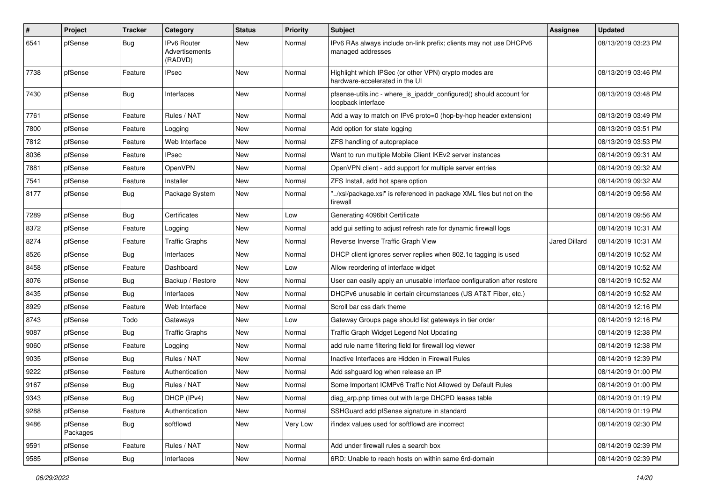| #    | Project             | <b>Tracker</b> | Category                                 | <b>Status</b> | <b>Priority</b> | <b>Subject</b>                                                                            | Assignee             | <b>Updated</b>      |
|------|---------------------|----------------|------------------------------------------|---------------|-----------------|-------------------------------------------------------------------------------------------|----------------------|---------------------|
| 6541 | pfSense             | Bug            | IPv6 Router<br>Advertisements<br>(RADVD) | New           | Normal          | IPv6 RAs always include on-link prefix; clients may not use DHCPv6<br>managed addresses   |                      | 08/13/2019 03:23 PM |
| 7738 | pfSense             | Feature        | <b>IPsec</b>                             | New           | Normal          | Highlight which IPSec (or other VPN) crypto modes are<br>hardware-accelerated in the UI   |                      | 08/13/2019 03:46 PM |
| 7430 | pfSense             | Bug            | Interfaces                               | New           | Normal          | pfsense-utils.inc - where_is_ipaddr_configured() should account for<br>loopback interface |                      | 08/13/2019 03:48 PM |
| 7761 | pfSense             | Feature        | Rules / NAT                              | New           | Normal          | Add a way to match on IPv6 proto=0 (hop-by-hop header extension)                          |                      | 08/13/2019 03:49 PM |
| 7800 | pfSense             | Feature        | Logging                                  | New           | Normal          | Add option for state logging                                                              |                      | 08/13/2019 03:51 PM |
| 7812 | pfSense             | Feature        | Web Interface                            | New           | Normal          | ZFS handling of autopreplace                                                              |                      | 08/13/2019 03:53 PM |
| 8036 | pfSense             | Feature        | <b>IPsec</b>                             | New           | Normal          | Want to run multiple Mobile Client IKEv2 server instances                                 |                      | 08/14/2019 09:31 AM |
| 7881 | pfSense             | Feature        | OpenVPN                                  | New           | Normal          | OpenVPN client - add support for multiple server entries                                  |                      | 08/14/2019 09:32 AM |
| 7541 | pfSense             | Feature        | Installer                                | New           | Normal          | ZFS Install, add hot spare option                                                         |                      | 08/14/2019 09:32 AM |
| 8177 | pfSense             | <b>Bug</b>     | Package System                           | New           | Normal          | /xsl/package.xsl" is referenced in package XML files but not on the<br>firewall           |                      | 08/14/2019 09:56 AM |
| 7289 | pfSense             | Bug            | Certificates                             | <b>New</b>    | Low             | Generating 4096bit Certificate                                                            |                      | 08/14/2019 09:56 AM |
| 8372 | pfSense             | Feature        | Logging                                  | New           | Normal          | add gui setting to adjust refresh rate for dynamic firewall logs                          |                      | 08/14/2019 10:31 AM |
| 8274 | pfSense             | Feature        | <b>Traffic Graphs</b>                    | New           | Normal          | Reverse Inverse Traffic Graph View                                                        | <b>Jared Dillard</b> | 08/14/2019 10:31 AM |
| 8526 | pfSense             | Bug            | Interfaces                               | New           | Normal          | DHCP client ignores server replies when 802.1q tagging is used                            |                      | 08/14/2019 10:52 AM |
| 8458 | pfSense             | Feature        | Dashboard                                | New           | Low             | Allow reordering of interface widget                                                      |                      | 08/14/2019 10:52 AM |
| 8076 | pfSense             | Bug            | Backup / Restore                         | New           | Normal          | User can easily apply an unusable interface configuration after restore                   |                      | 08/14/2019 10:52 AM |
| 8435 | pfSense             | Bug            | Interfaces                               | New           | Normal          | DHCPv6 unusable in certain circumstances (US AT&T Fiber, etc.)                            |                      | 08/14/2019 10:52 AM |
| 8929 | pfSense             | Feature        | Web Interface                            | New           | Normal          | Scroll bar css dark theme                                                                 |                      | 08/14/2019 12:16 PM |
| 8743 | pfSense             | Todo           | Gateways                                 | New           | Low             | Gateway Groups page should list gateways in tier order                                    |                      | 08/14/2019 12:16 PM |
| 9087 | pfSense             | Bug            | <b>Traffic Graphs</b>                    | New           | Normal          | Traffic Graph Widget Legend Not Updating                                                  |                      | 08/14/2019 12:38 PM |
| 9060 | pfSense             | Feature        | Logging                                  | New           | Normal          | add rule name filtering field for firewall log viewer                                     |                      | 08/14/2019 12:38 PM |
| 9035 | pfSense             | <b>Bug</b>     | Rules / NAT                              | New           | Normal          | Inactive Interfaces are Hidden in Firewall Rules                                          |                      | 08/14/2019 12:39 PM |
| 9222 | pfSense             | Feature        | Authentication                           | New           | Normal          | Add sshguard log when release an IP                                                       |                      | 08/14/2019 01:00 PM |
| 9167 | pfSense             | Bug            | Rules / NAT                              | New           | Normal          | Some Important ICMPv6 Traffic Not Allowed by Default Rules                                |                      | 08/14/2019 01:00 PM |
| 9343 | pfSense             | Bug            | DHCP (IPv4)                              | New           | Normal          | diag_arp.php times out with large DHCPD leases table                                      |                      | 08/14/2019 01:19 PM |
| 9288 | pfSense             | Feature        | Authentication                           | New           | Normal          | SSHGuard add pfSense signature in standard                                                |                      | 08/14/2019 01:19 PM |
| 9486 | pfSense<br>Packages | <b>Bug</b>     | softflowd                                | New           | Very Low        | ifindex values used for softflowd are incorrect                                           |                      | 08/14/2019 02:30 PM |
| 9591 | pfSense             | Feature        | Rules / NAT                              | New           | Normal          | Add under firewall rules a search box                                                     |                      | 08/14/2019 02:39 PM |
| 9585 | pfSense             | Bug            | Interfaces                               | New           | Normal          | 6RD: Unable to reach hosts on within same 6rd-domain                                      |                      | 08/14/2019 02:39 PM |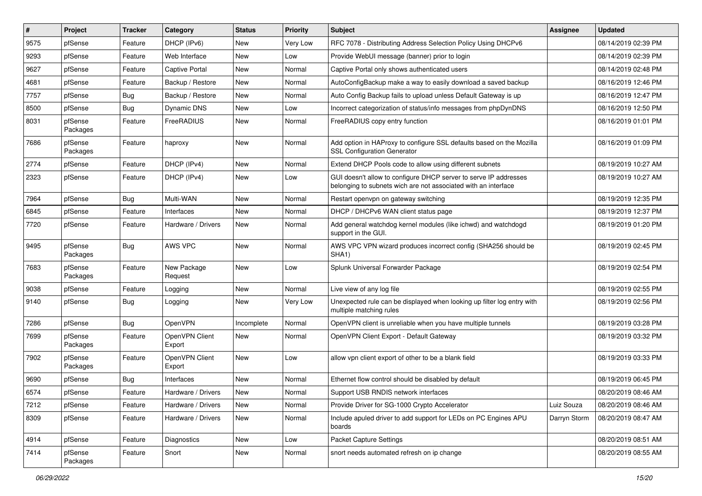| ∦    | Project             | <b>Tracker</b> | Category                 | <b>Status</b> | <b>Priority</b> | <b>Subject</b>                                                                                                                     | Assignee     | <b>Updated</b>      |
|------|---------------------|----------------|--------------------------|---------------|-----------------|------------------------------------------------------------------------------------------------------------------------------------|--------------|---------------------|
| 9575 | pfSense             | Feature        | DHCP (IPv6)              | New           | Very Low        | RFC 7078 - Distributing Address Selection Policy Using DHCPv6                                                                      |              | 08/14/2019 02:39 PM |
| 9293 | pfSense             | Feature        | Web Interface            | New           | Low             | Provide WebUI message (banner) prior to login                                                                                      |              | 08/14/2019 02:39 PM |
| 9627 | pfSense             | Feature        | Captive Portal           | New           | Normal          | Captive Portal only shows authenticated users                                                                                      |              | 08/14/2019 02:48 PM |
| 4681 | pfSense             | Feature        | Backup / Restore         | New           | Normal          | AutoConfigBackup make a way to easily download a saved backup                                                                      |              | 08/16/2019 12:46 PM |
| 7757 | pfSense             | Bug            | Backup / Restore         | <b>New</b>    | Normal          | Auto Config Backup fails to upload unless Default Gateway is up                                                                    |              | 08/16/2019 12:47 PM |
| 8500 | pfSense             | Bug            | Dynamic DNS              | New           | Low             | Incorrect categorization of status/info messages from phpDynDNS                                                                    |              | 08/16/2019 12:50 PM |
| 8031 | pfSense<br>Packages | Feature        | FreeRADIUS               | New           | Normal          | FreeRADIUS copy entry function                                                                                                     |              | 08/16/2019 01:01 PM |
| 7686 | pfSense<br>Packages | Feature        | haproxy                  | New           | Normal          | Add option in HAProxy to configure SSL defaults based on the Mozilla<br><b>SSL Configuration Generator</b>                         |              | 08/16/2019 01:09 PM |
| 2774 | pfSense             | Feature        | DHCP (IPv4)              | <b>New</b>    | Normal          | Extend DHCP Pools code to allow using different subnets                                                                            |              | 08/19/2019 10:27 AM |
| 2323 | pfSense             | Feature        | DHCP (IPv4)              | New           | Low             | GUI doesn't allow to configure DHCP server to serve IP addresses<br>belonging to subnets wich are not associated with an interface |              | 08/19/2019 10:27 AM |
| 7964 | pfSense             | Bug            | Multi-WAN                | New           | Normal          | Restart openvpn on gateway switching                                                                                               |              | 08/19/2019 12:35 PM |
| 6845 | pfSense             | Feature        | Interfaces               | New           | Normal          | DHCP / DHCPv6 WAN client status page                                                                                               |              | 08/19/2019 12:37 PM |
| 7720 | pfSense             | Feature        | Hardware / Drivers       | <b>New</b>    | Normal          | Add general watchdog kernel modules (like ichwd) and watchdogd<br>support in the GUI.                                              |              | 08/19/2019 01:20 PM |
| 9495 | pfSense<br>Packages | Bug            | AWS VPC                  | <b>New</b>    | Normal          | AWS VPC VPN wizard produces incorrect config (SHA256 should be<br>SHA <sub>1</sub> )                                               |              | 08/19/2019 02:45 PM |
| 7683 | pfSense<br>Packages | Feature        | New Package<br>Request   | <b>New</b>    | Low             | Splunk Universal Forwarder Package                                                                                                 |              | 08/19/2019 02:54 PM |
| 9038 | pfSense             | Feature        | Logging                  | New           | Normal          | Live view of any log file                                                                                                          |              | 08/19/2019 02:55 PM |
| 9140 | pfSense             | <b>Bug</b>     | Logging                  | New           | Very Low        | Unexpected rule can be displayed when looking up filter log entry with<br>multiple matching rules                                  |              | 08/19/2019 02:56 PM |
| 7286 | pfSense             | Bug            | OpenVPN                  | Incomplete    | Normal          | OpenVPN client is unreliable when you have multiple tunnels                                                                        |              | 08/19/2019 03:28 PM |
| 7699 | pfSense<br>Packages | Feature        | OpenVPN Client<br>Export | New           | Normal          | OpenVPN Client Export - Default Gateway                                                                                            |              | 08/19/2019 03:32 PM |
| 7902 | pfSense<br>Packages | Feature        | OpenVPN Client<br>Export | New           | Low             | allow vpn client export of other to be a blank field                                                                               |              | 08/19/2019 03:33 PM |
| 9690 | pfSense             | Bug            | Interfaces               | New           | Normal          | Ethernet flow control should be disabled by default                                                                                |              | 08/19/2019 06:45 PM |
| 6574 | pfSense             | Feature        | Hardware / Drivers       | New           | Normal          | Support USB RNDIS network interfaces                                                                                               |              | 08/20/2019 08:46 AM |
| 7212 | pfSense             | Feature        | Hardware / Drivers       | New           | Normal          | Provide Driver for SG-1000 Crypto Accelerator                                                                                      | Luiz Souza   | 08/20/2019 08:46 AM |
| 8309 | pfSense             | Feature        | Hardware / Drivers       | New           | Normal          | Include apuled driver to add support for LEDs on PC Engines APU<br>boards                                                          | Darryn Storm | 08/20/2019 08:47 AM |
| 4914 | pfSense             | Feature        | Diagnostics              | New           | Low             | <b>Packet Capture Settings</b>                                                                                                     |              | 08/20/2019 08:51 AM |
| 7414 | pfSense<br>Packages | Feature        | Snort                    | New           | Normal          | snort needs automated refresh on ip change                                                                                         |              | 08/20/2019 08:55 AM |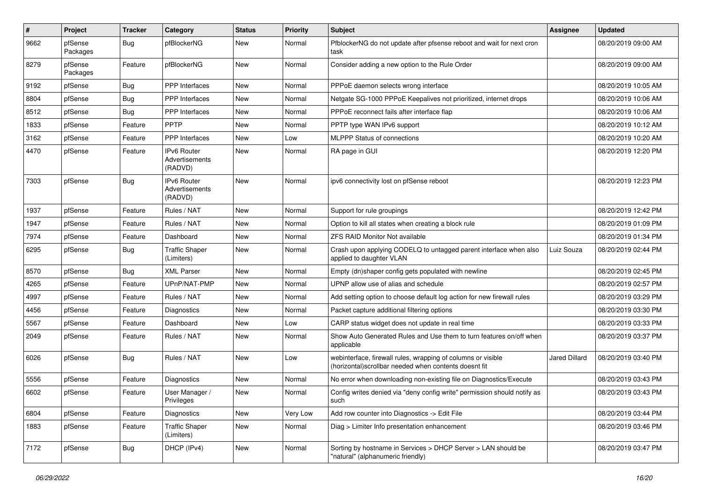| $\vert$ # | Project             | <b>Tracker</b> | Category                                        | <b>Status</b> | <b>Priority</b> | <b>Subject</b>                                                                                                        | Assignee             | <b>Updated</b>      |
|-----------|---------------------|----------------|-------------------------------------------------|---------------|-----------------|-----------------------------------------------------------------------------------------------------------------------|----------------------|---------------------|
| 9662      | pfSense<br>Packages | Bug            | pfBlockerNG                                     | New           | Normal          | PfblockerNG do not update after pfsense reboot and wait for next cron<br>task                                         |                      | 08/20/2019 09:00 AM |
| 8279      | pfSense<br>Packages | Feature        | pfBlockerNG                                     | <b>New</b>    | Normal          | Consider adding a new option to the Rule Order                                                                        |                      | 08/20/2019 09:00 AM |
| 9192      | pfSense             | Bug            | <b>PPP</b> Interfaces                           | <b>New</b>    | Normal          | PPPoE daemon selects wrong interface                                                                                  |                      | 08/20/2019 10:05 AM |
| 8804      | pfSense             | <b>Bug</b>     | <b>PPP</b> Interfaces                           | <b>New</b>    | Normal          | Netgate SG-1000 PPPoE Keepalives not prioritized, internet drops                                                      |                      | 08/20/2019 10:06 AM |
| 8512      | pfSense             | Bug            | <b>PPP</b> Interfaces                           | New           | Normal          | PPPoE reconnect fails after interface flap                                                                            |                      | 08/20/2019 10:06 AM |
| 1833      | pfSense             | Feature        | <b>PPTP</b>                                     | New           | Normal          | PPTP type WAN IPv6 support                                                                                            |                      | 08/20/2019 10:12 AM |
| 3162      | pfSense             | Feature        | PPP Interfaces                                  | <b>New</b>    | Low             | <b>MLPPP Status of connections</b>                                                                                    |                      | 08/20/2019 10:20 AM |
| 4470      | pfSense             | Feature        | <b>IPv6 Router</b><br>Advertisements<br>(RADVD) | New           | Normal          | RA page in GUI                                                                                                        |                      | 08/20/2019 12:20 PM |
| 7303      | pfSense             | Bug            | <b>IPv6 Router</b><br>Advertisements<br>(RADVD) | New           | Normal          | ipv6 connectivity lost on pfSense reboot                                                                              |                      | 08/20/2019 12:23 PM |
| 1937      | pfSense             | Feature        | Rules / NAT                                     | <b>New</b>    | Normal          | Support for rule groupings                                                                                            |                      | 08/20/2019 12:42 PM |
| 1947      | pfSense             | Feature        | Rules / NAT                                     | New           | Normal          | Option to kill all states when creating a block rule                                                                  |                      | 08/20/2019 01:09 PM |
| 7974      | pfSense             | Feature        | Dashboard                                       | <b>New</b>    | Normal          | <b>ZFS RAID Monitor Not available</b>                                                                                 |                      | 08/20/2019 01:34 PM |
| 6295      | pfSense             | Bug            | <b>Traffic Shaper</b><br>(Limiters)             | New           | Normal          | Crash upon applying CODELQ to untagged parent interface when also<br>applied to daughter VLAN                         | Luiz Souza           | 08/20/2019 02:44 PM |
| 8570      | pfSense             | Bug            | <b>XML Parser</b>                               | <b>New</b>    | Normal          | Empty (dn)shaper config gets populated with newline                                                                   |                      | 08/20/2019 02:45 PM |
| 4265      | pfSense             | Feature        | UPnP/NAT-PMP                                    | New           | Normal          | UPNP allow use of alias and schedule                                                                                  |                      | 08/20/2019 02:57 PM |
| 4997      | pfSense             | Feature        | Rules / NAT                                     | New           | Normal          | Add setting option to choose default log action for new firewall rules                                                |                      | 08/20/2019 03:29 PM |
| 4456      | pfSense             | Feature        | Diagnostics                                     | <b>New</b>    | Normal          | Packet capture additional filtering options                                                                           |                      | 08/20/2019 03:30 PM |
| 5567      | pfSense             | Feature        | Dashboard                                       | New           | Low             | CARP status widget does not update in real time                                                                       |                      | 08/20/2019 03:33 PM |
| 2049      | pfSense             | Feature        | Rules / NAT                                     | New           | Normal          | Show Auto Generated Rules and Use them to turn features on/off when<br>applicable                                     |                      | 08/20/2019 03:37 PM |
| 6026      | pfSense             | Bug            | Rules / NAT                                     | <b>New</b>    | Low             | webinterface, firewall rules, wrapping of columns or visible<br>(horizontal)scrollbar needed when contents doesnt fit | <b>Jared Dillard</b> | 08/20/2019 03:40 PM |
| 5556      | pfSense             | Feature        | Diagnostics                                     | New           | Normal          | No error when downloading non-existing file on Diagnostics/Execute                                                    |                      | 08/20/2019 03:43 PM |
| 6602      | pfSense             | Feature        | User Manager /<br>Privileges                    | New           | Normal          | Config writes denied via "deny config write" permission should notify as<br>such                                      |                      | 08/20/2019 03:43 PM |
| 6804      | pfSense             | Feature        | Diagnostics                                     | New           | Very Low        | Add row counter into Diagnostics -> Edit File                                                                         |                      | 08/20/2019 03:44 PM |
| 1883      | pfSense             | Feature        | <b>Traffic Shaper</b><br>(Limiters)             | New           | Normal          | Diag > Limiter Info presentation enhancement                                                                          |                      | 08/20/2019 03:46 PM |
| 7172      | pfSense             | <b>Bug</b>     | DHCP (IPv4)                                     | New           | Normal          | Sorting by hostname in Services > DHCP Server > LAN should be<br>"natural" (alphanumeric friendly)                    |                      | 08/20/2019 03:47 PM |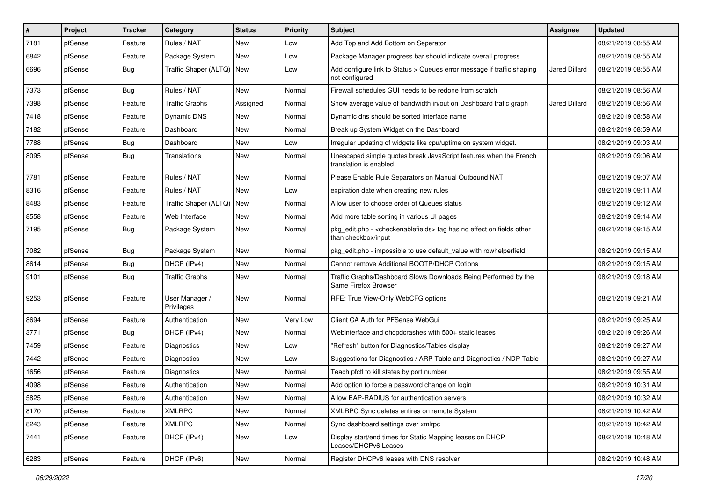| #    | Project | <b>Tracker</b> | Category                     | <b>Status</b> | Priority | <b>Subject</b>                                                                                                   | <b>Assignee</b>      | <b>Updated</b>      |
|------|---------|----------------|------------------------------|---------------|----------|------------------------------------------------------------------------------------------------------------------|----------------------|---------------------|
| 7181 | pfSense | Feature        | Rules / NAT                  | New           | Low      | Add Top and Add Bottom on Seperator                                                                              |                      | 08/21/2019 08:55 AM |
| 6842 | pfSense | Feature        | Package System               | <b>New</b>    | Low      | Package Manager progress bar should indicate overall progress                                                    |                      | 08/21/2019 08:55 AM |
| 6696 | pfSense | Bug            | Traffic Shaper (ALTQ)   New  |               | Low      | Add configure link to Status > Queues error message if traffic shaping<br>not configured                         | <b>Jared Dillard</b> | 08/21/2019 08:55 AM |
| 7373 | pfSense | Bug            | Rules / NAT                  | New           | Normal   | Firewall schedules GUI needs to be redone from scratch                                                           |                      | 08/21/2019 08:56 AM |
| 7398 | pfSense | Feature        | <b>Traffic Graphs</b>        | Assigned      | Normal   | Show average value of bandwidth in/out on Dashboard trafic graph                                                 | Jared Dillard        | 08/21/2019 08:56 AM |
| 7418 | pfSense | Feature        | Dynamic DNS                  | New           | Normal   | Dynamic dns should be sorted interface name                                                                      |                      | 08/21/2019 08:58 AM |
| 7182 | pfSense | Feature        | Dashboard                    | New           | Normal   | Break up System Widget on the Dashboard                                                                          |                      | 08/21/2019 08:59 AM |
| 7788 | pfSense | <b>Bug</b>     | Dashboard                    | New           | Low      | Irregular updating of widgets like cpu/uptime on system widget.                                                  |                      | 08/21/2019 09:03 AM |
| 8095 | pfSense | Bug            | Translations                 | New           | Normal   | Unescaped simple quotes break JavaScript features when the French<br>translation is enabled                      |                      | 08/21/2019 09:06 AM |
| 7781 | pfSense | Feature        | Rules / NAT                  | New           | Normal   | Please Enable Rule Separators on Manual Outbound NAT                                                             |                      | 08/21/2019 09:07 AM |
| 8316 | pfSense | Feature        | Rules / NAT                  | New           | Low      | expiration date when creating new rules                                                                          |                      | 08/21/2019 09:11 AM |
| 8483 | pfSense | Feature        | Traffic Shaper (ALTQ)   New  |               | Normal   | Allow user to choose order of Queues status                                                                      |                      | 08/21/2019 09:12 AM |
| 8558 | pfSense | Feature        | Web Interface                | <b>New</b>    | Normal   | Add more table sorting in various UI pages                                                                       |                      | 08/21/2019 09:14 AM |
| 7195 | pfSense | Bug            | Package System               | New           | Normal   | pkg_edit.php - <checkenablefields> tag has no effect on fields other<br/>than checkbox/input</checkenablefields> |                      | 08/21/2019 09:15 AM |
| 7082 | pfSense | <b>Bug</b>     | Package System               | New           | Normal   | pkg edit.php - impossible to use default value with rowhelperfield                                               |                      | 08/21/2019 09:15 AM |
| 8614 | pfSense | <b>Bug</b>     | DHCP (IPv4)                  | New           | Normal   | Cannot remove Additional BOOTP/DHCP Options                                                                      |                      | 08/21/2019 09:15 AM |
| 9101 | pfSense | Bug            | <b>Traffic Graphs</b>        | New           | Normal   | Traffic Graphs/Dashboard Slows Downloads Being Performed by the<br>Same Firefox Browser                          |                      | 08/21/2019 09:18 AM |
| 9253 | pfSense | Feature        | User Manager /<br>Privileges | New           | Normal   | RFE: True View-Only WebCFG options                                                                               |                      | 08/21/2019 09:21 AM |
| 8694 | pfSense | Feature        | Authentication               | New           | Very Low | Client CA Auth for PFSense WebGui                                                                                |                      | 08/21/2019 09:25 AM |
| 3771 | pfSense | <b>Bug</b>     | DHCP (IPv4)                  | New           | Normal   | Webinterface and dhcpdcrashes with 500+ static leases                                                            |                      | 08/21/2019 09:26 AM |
| 7459 | pfSense | Feature        | Diagnostics                  | <b>New</b>    | Low      | "Refresh" button for Diagnostics/Tables display                                                                  |                      | 08/21/2019 09:27 AM |
| 7442 | pfSense | Feature        | <b>Diagnostics</b>           | New           | Low      | Suggestions for Diagnostics / ARP Table and Diagnostics / NDP Table                                              |                      | 08/21/2019 09:27 AM |
| 1656 | pfSense | Feature        | <b>Diagnostics</b>           | New           | Normal   | Teach pfctl to kill states by port number                                                                        |                      | 08/21/2019 09:55 AM |
| 4098 | pfSense | Feature        | Authentication               | <b>New</b>    | Normal   | Add option to force a password change on login                                                                   |                      | 08/21/2019 10:31 AM |
| 5825 | ptSense | Feature        | Authentication               | New           | Normal   | Allow EAP-RADIUS for authentication servers                                                                      |                      | 08/21/2019 10:32 AM |
| 8170 | pfSense | Feature        | <b>XMLRPC</b>                | New           | Normal   | XMLRPC Sync deletes entires on remote System                                                                     |                      | 08/21/2019 10:42 AM |
| 8243 | pfSense | Feature        | <b>XMLRPC</b>                | New           | Normal   | Sync dashboard settings over xmlrpc                                                                              |                      | 08/21/2019 10:42 AM |
| 7441 | pfSense | Feature        | DHCP (IPv4)                  | New           | Low      | Display start/end times for Static Mapping leases on DHCP<br>Leases/DHCPv6 Leases                                |                      | 08/21/2019 10:48 AM |
| 6283 | pfSense | Feature        | DHCP (IPv6)                  | New           | Normal   | Register DHCPv6 leases with DNS resolver                                                                         |                      | 08/21/2019 10:48 AM |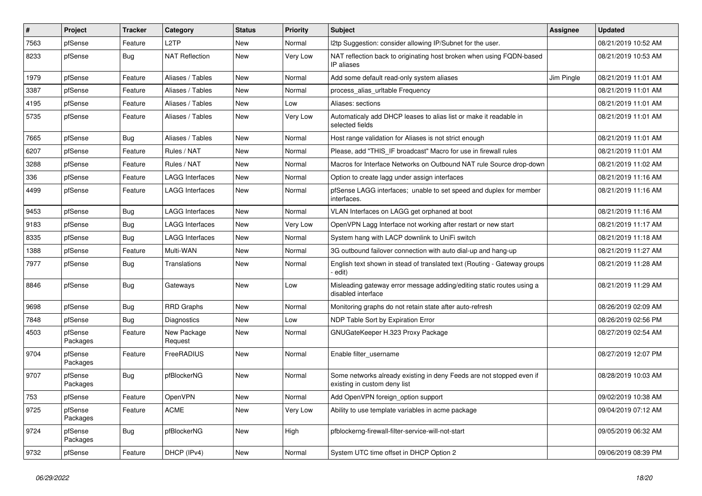| $\vert$ # | Project             | <b>Tracker</b> | Category               | <b>Status</b> | <b>Priority</b> | <b>Subject</b>                                                                                       | <b>Assignee</b> | <b>Updated</b>      |
|-----------|---------------------|----------------|------------------------|---------------|-----------------|------------------------------------------------------------------------------------------------------|-----------------|---------------------|
| 7563      | pfSense             | Feature        | L <sub>2</sub> TP      | New           | Normal          | I2tp Suggestion: consider allowing IP/Subnet for the user.                                           |                 | 08/21/2019 10:52 AM |
| 8233      | pfSense             | Bug            | <b>NAT Reflection</b>  | New           | Very Low        | NAT reflection back to originating host broken when using FQDN-based<br>IP aliases                   |                 | 08/21/2019 10:53 AM |
| 1979      | pfSense             | Feature        | Aliases / Tables       | <b>New</b>    | Normal          | Add some default read-only system aliases                                                            | Jim Pingle      | 08/21/2019 11:01 AM |
| 3387      | pfSense             | Feature        | Aliases / Tables       | New           | Normal          | process_alias_urItable Frequency                                                                     |                 | 08/21/2019 11:01 AM |
| 4195      | pfSense             | Feature        | Aliases / Tables       | New           | Low             | Aliases: sections                                                                                    |                 | 08/21/2019 11:01 AM |
| 5735      | pfSense             | Feature        | Aliases / Tables       | New           | Very Low        | Automaticaly add DHCP leases to alias list or make it readable in<br>selected fields                 |                 | 08/21/2019 11:01 AM |
| 7665      | pfSense             | Bug            | Aliases / Tables       | New           | Normal          | Host range validation for Aliases is not strict enough                                               |                 | 08/21/2019 11:01 AM |
| 6207      | pfSense             | Feature        | Rules / NAT            | New           | Normal          | Please, add "THIS_IF broadcast" Macro for use in firewall rules                                      |                 | 08/21/2019 11:01 AM |
| 3288      | pfSense             | Feature        | Rules / NAT            | New           | Normal          | Macros for Interface Networks on Outbound NAT rule Source drop-down                                  |                 | 08/21/2019 11:02 AM |
| 336       | pfSense             | Feature        | <b>LAGG Interfaces</b> | New           | Normal          | Option to create lagg under assign interfaces                                                        |                 | 08/21/2019 11:16 AM |
| 4499      | pfSense             | Feature        | LAGG Interfaces        | New           | Normal          | pfSense LAGG interfaces; unable to set speed and duplex for member<br>interfaces.                    |                 | 08/21/2019 11:16 AM |
| 9453      | pfSense             | <b>Bug</b>     | <b>LAGG Interfaces</b> | New           | Normal          | VLAN Interfaces on LAGG get orphaned at boot                                                         |                 | 08/21/2019 11:16 AM |
| 9183      | pfSense             | Bug            | <b>LAGG Interfaces</b> | New           | Very Low        | OpenVPN Lagg Interface not working after restart or new start                                        |                 | 08/21/2019 11:17 AM |
| 8335      | pfSense             | Bug            | <b>LAGG Interfaces</b> | New           | Normal          | System hang with LACP downlink to UniFi switch                                                       |                 | 08/21/2019 11:18 AM |
| 1388      | pfSense             | Feature        | Multi-WAN              | New           | Normal          | 3G outbound failover connection with auto dial-up and hang-up                                        |                 | 08/21/2019 11:27 AM |
| 7977      | pfSense             | <b>Bug</b>     | Translations           | New           | Normal          | English text shown in stead of translated text (Routing - Gateway groups<br>edit)                    |                 | 08/21/2019 11:28 AM |
| 8846      | pfSense             | Bug            | Gateways               | New           | Low             | Misleading gateway error message adding/editing static routes using a<br>disabled interface          |                 | 08/21/2019 11:29 AM |
| 9698      | pfSense             | <b>Bug</b>     | <b>RRD Graphs</b>      | New           | Normal          | Monitoring graphs do not retain state after auto-refresh                                             |                 | 08/26/2019 02:09 AM |
| 7848      | pfSense             | Bug            | <b>Diagnostics</b>     | New           | Low             | NDP Table Sort by Expiration Error                                                                   |                 | 08/26/2019 02:56 PM |
| 4503      | pfSense<br>Packages | Feature        | New Package<br>Request | New           | Normal          | GNUGateKeeper H.323 Proxy Package                                                                    |                 | 08/27/2019 02:54 AM |
| 9704      | pfSense<br>Packages | Feature        | FreeRADIUS             | New           | Normal          | Enable filter username                                                                               |                 | 08/27/2019 12:07 PM |
| 9707      | pfSense<br>Packages | <b>Bug</b>     | pfBlockerNG            | New           | Normal          | Some networks already existing in deny Feeds are not stopped even if<br>existing in custom deny list |                 | 08/28/2019 10:03 AM |
| 753       | pfSense             | Feature        | OpenVPN                | New           | Normal          | Add OpenVPN foreign_option support                                                                   |                 | 09/02/2019 10:38 AM |
| 9725      | pfSense<br>Packages | Feature        | ACME                   | New           | Very Low        | Ability to use template variables in acme package                                                    |                 | 09/04/2019 07:12 AM |
| 9724      | pfSense<br>Packages | <b>Bug</b>     | pfBlockerNG            | New           | High            | pfblockerng-firewall-filter-service-will-not-start                                                   |                 | 09/05/2019 06:32 AM |
| 9732      | pfSense             | Feature        | DHCP (IPv4)            | New           | Normal          | System UTC time offset in DHCP Option 2                                                              |                 | 09/06/2019 08:39 PM |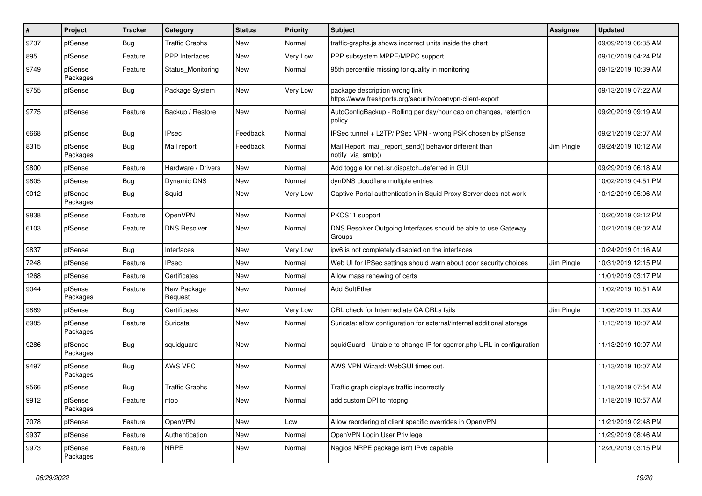| #    | Project             | <b>Tracker</b> | Category               | <b>Status</b> | Priority | <b>Subject</b>                                                                              | <b>Assignee</b> | <b>Updated</b>      |
|------|---------------------|----------------|------------------------|---------------|----------|---------------------------------------------------------------------------------------------|-----------------|---------------------|
| 9737 | pfSense             | Bug            | <b>Traffic Graphs</b>  | New           | Normal   | traffic-graphs.js shows incorrect units inside the chart                                    |                 | 09/09/2019 06:35 AM |
| 895  | pfSense             | Feature        | <b>PPP</b> Interfaces  | <b>New</b>    | Very Low | PPP subsystem MPPE/MPPC support                                                             |                 | 09/10/2019 04:24 PM |
| 9749 | pfSense<br>Packages | Feature        | Status Monitoring      | New           | Normal   | 95th percentile missing for quality in monitoring                                           |                 | 09/12/2019 10:39 AM |
| 9755 | pfSense             | <b>Bug</b>     | Package System         | New           | Very Low | package description wrong link<br>https://www.freshports.org/security/openvpn-client-export |                 | 09/13/2019 07:22 AM |
| 9775 | pfSense             | Feature        | Backup / Restore       | New           | Normal   | AutoConfigBackup - Rolling per day/hour cap on changes, retention<br>policy                 |                 | 09/20/2019 09:19 AM |
| 6668 | pfSense             | Bug            | <b>IPsec</b>           | Feedback      | Normal   | IPSec tunnel + L2TP/IPSec VPN - wrong PSK chosen by pfSense                                 |                 | 09/21/2019 02:07 AM |
| 8315 | pfSense<br>Packages | <b>Bug</b>     | Mail report            | Feedback      | Normal   | Mail Report mail report send() behavior different than<br>notify via smtp()                 | Jim Pingle      | 09/24/2019 10:12 AM |
| 9800 | pfSense             | Feature        | Hardware / Drivers     | <b>New</b>    | Normal   | Add toggle for net.isr.dispatch=deferred in GUI                                             |                 | 09/29/2019 06:18 AM |
| 9805 | pfSense             | <b>Bug</b>     | Dynamic DNS            | <b>New</b>    | Normal   | dynDNS cloudflare multiple entries                                                          |                 | 10/02/2019 04:51 PM |
| 9012 | pfSense<br>Packages | <b>Bug</b>     | Squid                  | New           | Very Low | Captive Portal authentication in Squid Proxy Server does not work                           |                 | 10/12/2019 05:06 AM |
| 9838 | pfSense             | Feature        | OpenVPN                | <b>New</b>    | Normal   | PKCS11 support                                                                              |                 | 10/20/2019 02:12 PM |
| 6103 | pfSense             | Feature        | <b>DNS Resolver</b>    | New           | Normal   | DNS Resolver Outgoing Interfaces should be able to use Gateway<br>Groups                    |                 | 10/21/2019 08:02 AM |
| 9837 | pfSense             | Bug            | Interfaces             | <b>New</b>    | Very Low | ipv6 is not completely disabled on the interfaces                                           |                 | 10/24/2019 01:16 AM |
| 7248 | pfSense             | Feature        | <b>IPsec</b>           | New           | Normal   | Web UI for IPSec settings should warn about poor security choices                           | Jim Pingle      | 10/31/2019 12:15 PM |
| 1268 | pfSense             | Feature        | Certificates           | <b>New</b>    | Normal   | Allow mass renewing of certs                                                                |                 | 11/01/2019 03:17 PM |
| 9044 | pfSense<br>Packages | Feature        | New Package<br>Request | New           | Normal   | Add SoftEther                                                                               |                 | 11/02/2019 10:51 AM |
| 9889 | pfSense             | Bug            | Certificates           | <b>New</b>    | Very Low | CRL check for Intermediate CA CRLs fails                                                    | Jim Pingle      | 11/08/2019 11:03 AM |
| 8985 | pfSense<br>Packages | Feature        | Suricata               | New           | Normal   | Suricata: allow configuration for external/internal additional storage                      |                 | 11/13/2019 10:07 AM |
| 9286 | pfSense<br>Packages | Bug            | squidguard             | <b>New</b>    | Normal   | squidGuard - Unable to change IP for sgerror.php URL in configuration                       |                 | 11/13/2019 10:07 AM |
| 9497 | pfSense<br>Packages | <b>Bug</b>     | AWS VPC                | <b>New</b>    | Normal   | AWS VPN Wizard: WebGUI times out.                                                           |                 | 11/13/2019 10:07 AM |
| 9566 | pfSense             | <b>Bug</b>     | <b>Traffic Graphs</b>  | <b>New</b>    | Normal   | Traffic graph displays traffic incorrectly                                                  |                 | 11/18/2019 07:54 AM |
| 9912 | pfSense<br>Packages | Feature        | ntop                   | New           | Normal   | add custom DPI to ntopng                                                                    |                 | 11/18/2019 10:57 AM |
| 7078 | pfSense             | Feature        | OpenVPN                | New           | Low      | Allow reordering of client specific overrides in OpenVPN                                    |                 | 11/21/2019 02:48 PM |
| 9937 | pfSense             | Feature        | Authentication         | New           | Normal   | OpenVPN Login User Privilege                                                                |                 | 11/29/2019 08:46 AM |
| 9973 | pfSense<br>Packages | Feature        | <b>NRPE</b>            | New           | Normal   | Nagios NRPE package isn't IPv6 capable                                                      |                 | 12/20/2019 03:15 PM |